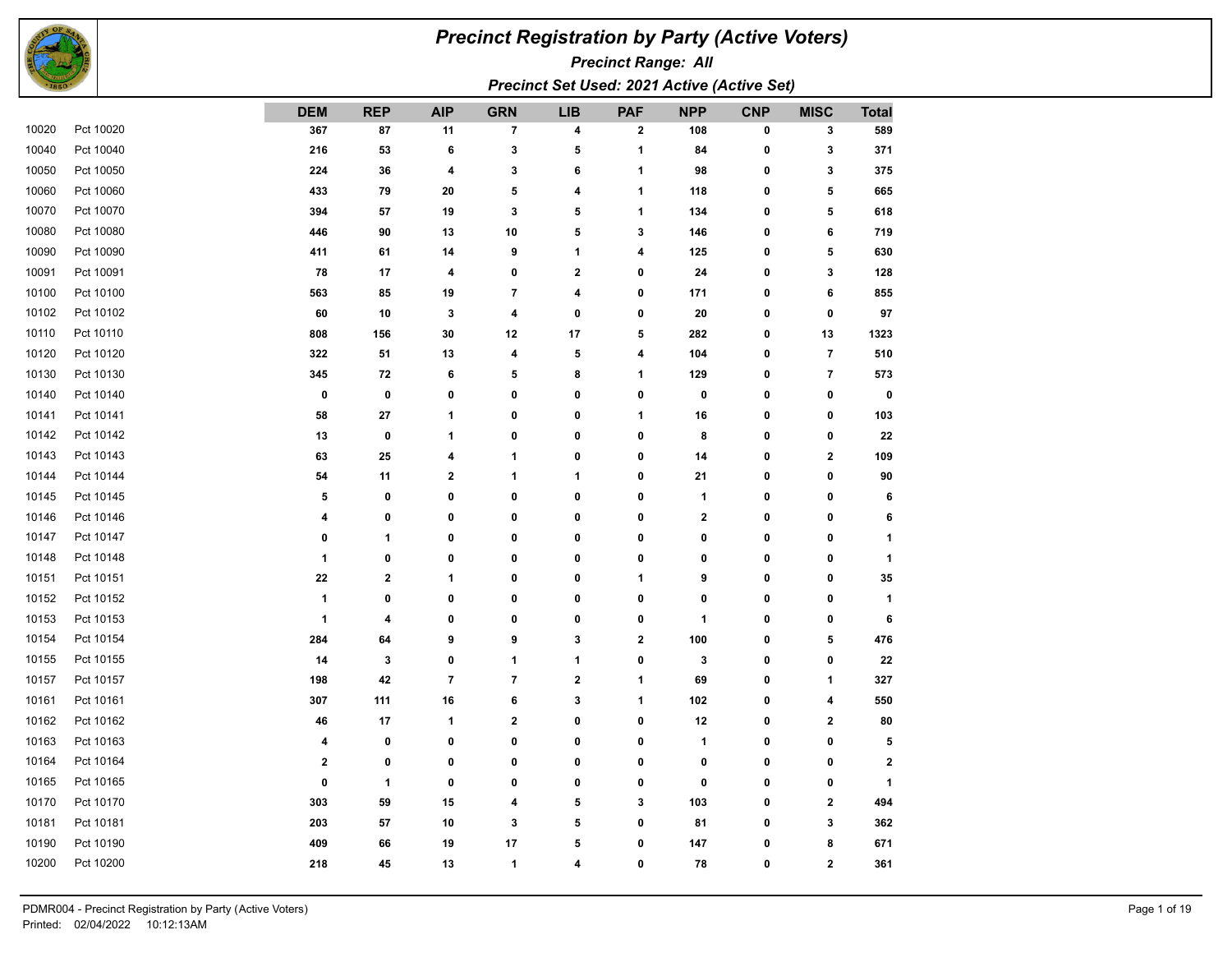

## *Precinct Registration by Party (Active Voters)*

*Precinct Range: All*

*Precinct Set Used: 2021 Active (Active Set)*

|       |           | <b>DEM</b>  | <b>REP</b>   | <b>AIP</b>     | <b>GRN</b>              | <b>LIB</b>   | <b>PAF</b>  | <b>NPP</b>       | <b>CNP</b> | <b>MISC</b>    | <b>Total</b> |
|-------|-----------|-------------|--------------|----------------|-------------------------|--------------|-------------|------------------|------------|----------------|--------------|
| 10020 | Pct 10020 | 367         | 87           | 11             | $\overline{\mathbf{7}}$ | 4            | 2           | 108              | 0          | 3              | 589          |
| 10040 | Pct 10040 | 216         | 53           | 6              | 3                       | 5            | 1           | 84               | 0          | 3              | 371          |
| 10050 | Pct 10050 | 224         | 36           | 4              | 3                       | 6            | 1           | 98               | 0          | 3              | 375          |
| 10060 | Pct 10060 | 433         | 79           | 20             | 5                       | 4            | 1           | 118              | 0          | 5              | 665          |
| 10070 | Pct 10070 | 394         | 57           | 19             | 3                       | 5            | 1           | 134              | 0          | 5              | 618          |
| 10080 | Pct 10080 | 446         | 90           | 13             | 10                      | 5            | 3           | 146              | 0          | 6              | 719          |
| 10090 | Pct 10090 | 411         | 61           | 14             | 9                       | 1            | 4           | 125              | 0          | 5              | 630          |
| 10091 | Pct 10091 | 78          | 17           | 4              | $\pmb{0}$               | $\mathbf{2}$ | 0           | 24               | 0          | 3              | 128          |
| 10100 | Pct 10100 | 563         | 85           | 19             | 7                       | 4            | 0           | 171              | 0          | 6              | 855          |
| 10102 | Pct 10102 | 60          | 10           | 3              | 4                       | 0            | 0           | 20               | 0          | $\pmb{0}$      | 97           |
| 10110 | Pct 10110 | 808         | 156          | 30             | 12                      | 17           | 5           | 282              | 0          | 13             | 1323         |
| 10120 | Pct 10120 | 322         | 51           | 13             | 4                       | 5            | 4           | 104              | 0          | $\overline{7}$ | 510          |
| 10130 | Pct 10130 | 345         | 72           | 6              | 5                       | 8            | 1           | 129              | 0          | $\overline{7}$ | 573          |
| 10140 | Pct 10140 | 0           | $\mathbf 0$  | 0              | 0                       | 0            | 0           | 0                | 0          | 0              |              |
| 10141 | Pct 10141 | 58          | 27           | 1              | 0                       | 0            | 1           | 16               | 0          | 0              | 103          |
| 10142 | Pct 10142 | 13          | $\mathbf 0$  | 1              | $\bf{0}$                | 0            | 0           | 8                | 0          | 0              |              |
| 10143 | Pct 10143 | 63          | 25           | 4              | 1                       | 0            | 0           | 14               | 0          | $\mathbf{2}$   | 109          |
| 10144 | Pct 10144 | 54          | 11           | 2              | 1                       | 1            | 0           | 21               | 0          | 0              |              |
| 10145 | Pct 10145 | 5           | 0            | 0              | 0                       | 0            | 0           | 1                | 0          | 0              |              |
| 10146 | Pct 10146 | 4           | 0            | 0              | 0                       | 0            | 0           | $\boldsymbol{2}$ | 0          | 0              |              |
| 10147 | Pct 10147 | 0           | $\mathbf{1}$ | 0              | 0                       | 0            | 0           | 0                | 0          | 0              |              |
| 10148 | Pct 10148 | 1           | 0            | 0              | 0                       | 0            | 0           | 0                | 0          | 0              |              |
| 10151 | Pct 10151 | 22          | $\mathbf{2}$ | 1              | $\bf{0}$                | 0            | 1           | 9                | 0          | 0              |              |
| 10152 | Pct 10152 | 1           | 0            | 0              | 0                       | 0            | 0           | 0                | 0          | 0              |              |
| 10153 | Pct 10153 | 1           | 4            | 0              | $\bf{0}$                | 0            | 0           | 1                | 0          | 0              |              |
| 10154 | Pct 10154 | 284         | 64           | 9              | 9                       | 3            | $\mathbf 2$ | 100              | 0          | 5              | 476          |
| 10155 | Pct 10155 | 14          | 3            | 0              | 1                       | 1            | 0           | 3                | 0          | $\pmb{0}$      |              |
| 10157 | Pct 10157 | 198         | 42           | $\overline{7}$ | $\overline{\mathbf{7}}$ | $\bf 2$      | 1           | 69               | 0          | 1              | 327          |
| 10161 | Pct 10161 | 307         | 111          | 16             | 6                       | $\mathbf 3$  | 1           | 102              | 0          | 4              | 550          |
| 10162 | Pct 10162 | 46          | 17           | 1              | $\mathbf 2$             | 0            | 0           | 12               | 0          | $\bf{2}$       |              |
| 10163 | Pct 10163 | 4           | 0            | 0              | $\mathbf 0$             | 0            | 0           | 1                | 0          | $\pmb{0}$      |              |
| 10164 | Pct 10164 | $\mathbf 2$ | $\bf{0}$     | 0              | 0                       | 0            | 0           | 0                | 0          | 0              |              |
| 10165 | Pct 10165 | 0           | $\mathbf{1}$ | 0              | 0                       | 0            | 0           | 0                | 0          | 0              |              |
| 10170 | Pct 10170 | 303         | 59           | 15             | 4                       | 5            | 3           | 103              | 0          | $\mathbf{2}$   | 494          |
| 10181 | Pct 10181 | 203         | 57           | 10             | 3                       | 5            | 0           | 81               | 0          | 3              | 362          |
| 10190 | Pct 10190 | 409         | 66           | 19             | 17                      | 5            | 0           | 147              | 0          | 8              | 671          |
| 10200 | Pct 10200 | 218         | 45           | 13             | $\mathbf{1}$            | 4            | 0           | 78               | 0          | $\mathbf{2}$   | 361          |
|       |           |             |              |                |                         |              |             |                  |            |                |              |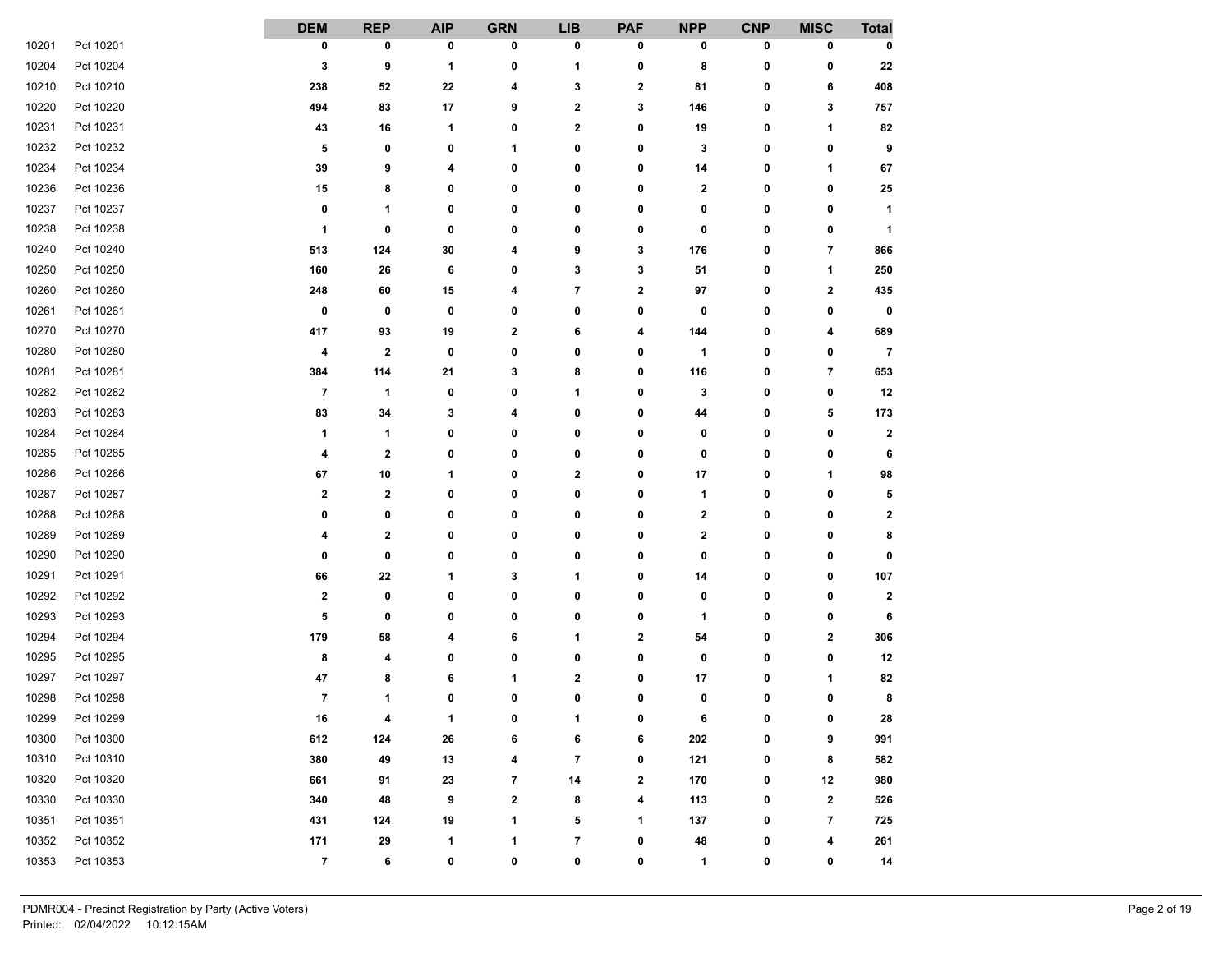|       |           | <b>DEM</b>               | <b>REP</b>     | <b>AIP</b>     | <b>GRN</b> | <b>LIB</b>              | <b>PAF</b>   | <b>NPP</b>   | <b>CNP</b>   | <b>MISC</b>              | <b>Total</b>   |
|-------|-----------|--------------------------|----------------|----------------|------------|-------------------------|--------------|--------------|--------------|--------------------------|----------------|
| 10201 | Pct 10201 | 0                        | 0              | 0              | 0          | 0                       | 0            | 0            | 0            | 0                        | 0              |
| 10204 | Pct 10204 | 3                        | 9              | 1              | 0          | 1                       | 0            | 8            | 0            | 0                        | 22             |
| 10210 | Pct 10210 | 238                      | 52             | 22             | 4          | 3                       | 2            | 81           | 0            | 6                        | 408            |
| 10220 | Pct 10220 | 494                      | 83             | 17             | 9          | $\boldsymbol{2}$        | 3            | 146          | 0            | 3                        | 757            |
| 10231 | Pct 10231 | 43                       | 16             | 1              | 0          | $\mathbf 2$             | 0            | 19           | 0            | 1                        | 82             |
| 10232 | Pct 10232 | 5                        | 0              | 0              | 1          | 0                       | 0            | 3            | 0            | 0                        | 9              |
| 10234 | Pct 10234 | 39                       | 9              | 4              | 0          | 0                       | 0            | 14           | 0            | 1                        | 67             |
| 10236 | Pct 10236 | 15                       | 8              | 0              | 0          | 0                       | 0            | 2            | 0            | 0                        | 25             |
| 10237 | Pct 10237 | 0                        | 1              | 0              | 0          | 0                       | 0            | 0            | 0            | 0                        | $\mathbf{1}$   |
| 10238 | Pct 10238 | 1                        | 0              | 0              | 0          | 0                       | 0            | 0            | 0            | 0                        | $\mathbf 1$    |
| 10240 | Pct 10240 | 513                      | 124            | 30             | 4          | 9                       | 3            | 176          | 0            | $\overline{\phantom{a}}$ | 866            |
| 10250 | Pct 10250 | 160                      | 26             | 6              | 0          | 3                       | 3            | 51           | 0            | 1                        | 250            |
| 10260 | Pct 10260 | 248                      | 60             | 15             | 4          | 7                       | 2            | 97           | 0            | $\mathbf{2}$             | 435            |
| 10261 | Pct 10261 | 0                        | 0              | 0              | 0          | 0                       | 0            | 0            | 0            | 0                        | 0              |
| 10270 | Pct 10270 | 417                      | 93             | 19             | 2          | 6                       | 4            | 144          | 0            | 4                        | 689            |
| 10280 | Pct 10280 | 4                        | 2              | 0              | 0          | 0                       | 0            | 1            | 0            | 0                        | $\overline{7}$ |
| 10281 | Pct 10281 | 384                      | 114            | 21             | 3          | 8                       | 0            | 116          | 0            | $\overline{\mathbf{r}}$  | 653            |
| 10282 | Pct 10282 | $\overline{\phantom{a}}$ | 1              | 0              | 0          | 1                       | 0            | 3            | 0            | 0                        | 12             |
| 10283 | Pct 10283 | 83                       | 34             | 3              | 4          | 0                       | 0            | 44           | 0            | 5                        | 173            |
| 10284 | Pct 10284 | 1                        | 1              | 0              | 0          | 0                       | 0            | 0            | 0            | 0                        | $\mathbf 2$    |
| 10285 | Pct 10285 | 4                        | 2              | 0              | 0          | 0                       | 0            | 0            | 0            | 0                        | 6              |
| 10286 | Pct 10286 | 67                       | 10             | 1              | 0          | $\mathbf 2$             | 0            | 17           | 0            | 1                        | 98             |
| 10287 | Pct 10287 | $\mathbf 2$              | 2              | 0              | 0          | 0                       | 0            | 1            | 0            | 0                        | 5              |
| 10288 | Pct 10288 | 0                        | 0              | 0              | 0          | 0                       | 0            | $\mathbf{2}$ | 0            | 0                        | $\mathbf{2}$   |
| 10289 | Pct 10289 | 4                        | 2              | 0              | 0          | 0                       | 0            | $\mathbf 2$  | 0            | 0                        | 8              |
| 10290 | Pct 10290 | 0                        | 0              | 0              | 0          | 0                       | 0            | 0            | 0            | 0                        | 0              |
| 10291 | Pct 10291 | 66                       | 22             | 1              | 3          | 1                       | 0            | 14           | 0            | 0                        | 107            |
| 10292 | Pct 10292 | $\mathbf 2$              | 0              | 0              | 0          | 0                       | 0            | 0            | 0            | 0                        | $\mathbf{2}$   |
| 10293 | Pct 10293 | 5                        | 0              | 0              | 0          | 0                       | 0            | 1            | 0            | 0                        | 6              |
| 10294 | Pct 10294 | 179                      | 58             | 4              | 6          | 1                       | 2            | 54           | 0            | $\mathbf 2$              | 306            |
| 10295 | Pct 10295 | 8                        | 4              | 0              | 0          | 0                       | 0            | 0            | 0            | 0                        | 12             |
| 10297 | Pct 10297 | 47                       | 8              | 6              | 1          | 2                       | 0            | 17           | 0            | 1                        | 82             |
| 10298 | Pct 10298 | $\overline{\phantom{a}}$ | 1              | 0              | 0          | 0                       | 0            | 0            | 0            | 0                        | 8              |
| 10299 | Pct 10299 | ${\bf 16}$               | $\overline{A}$ | $\overline{A}$ | n          | $\overline{A}$          | $\mathbf{r}$ | 6            | $\mathbf{r}$ | $\mathbf{0}$             | ${\bf 28}$     |
| 10300 | Pct 10300 | 612                      | 124            | 26             | 6          | 6                       | 6            | 202          | 0            | 9                        | 991            |
| 10310 | Pct 10310 | 380                      | 49             | $13$           | 4          | 7                       | 0            | 121          | 0            | 8                        | 582            |
| 10320 | Pct 10320 | 661                      | 91             | 23             | 7          | 14                      | 2            | 170          | 0            | 12                       | 980            |
| 10330 | Pct 10330 | 340                      | 48             | 9              | 2          | 8                       | 4            | 113          | 0            | $\mathbf{2}$             | 526            |
| 10351 | Pct 10351 | 431                      | 124            | 19             | 1          | 5                       | 1            | 137          | 0            | $\overline{\phantom{a}}$ | 725            |
| 10352 | Pct 10352 | 171                      | 29             | 1              | 1          | $\overline{\mathbf{7}}$ | 0            | 48           | 0            | 4                        | 261            |
| 10353 | Pct 10353 | $\overline{7}$           | 6              | 0              | 0          | 0                       | 0            | $\mathbf{1}$ | 0            | 0                        | 14             |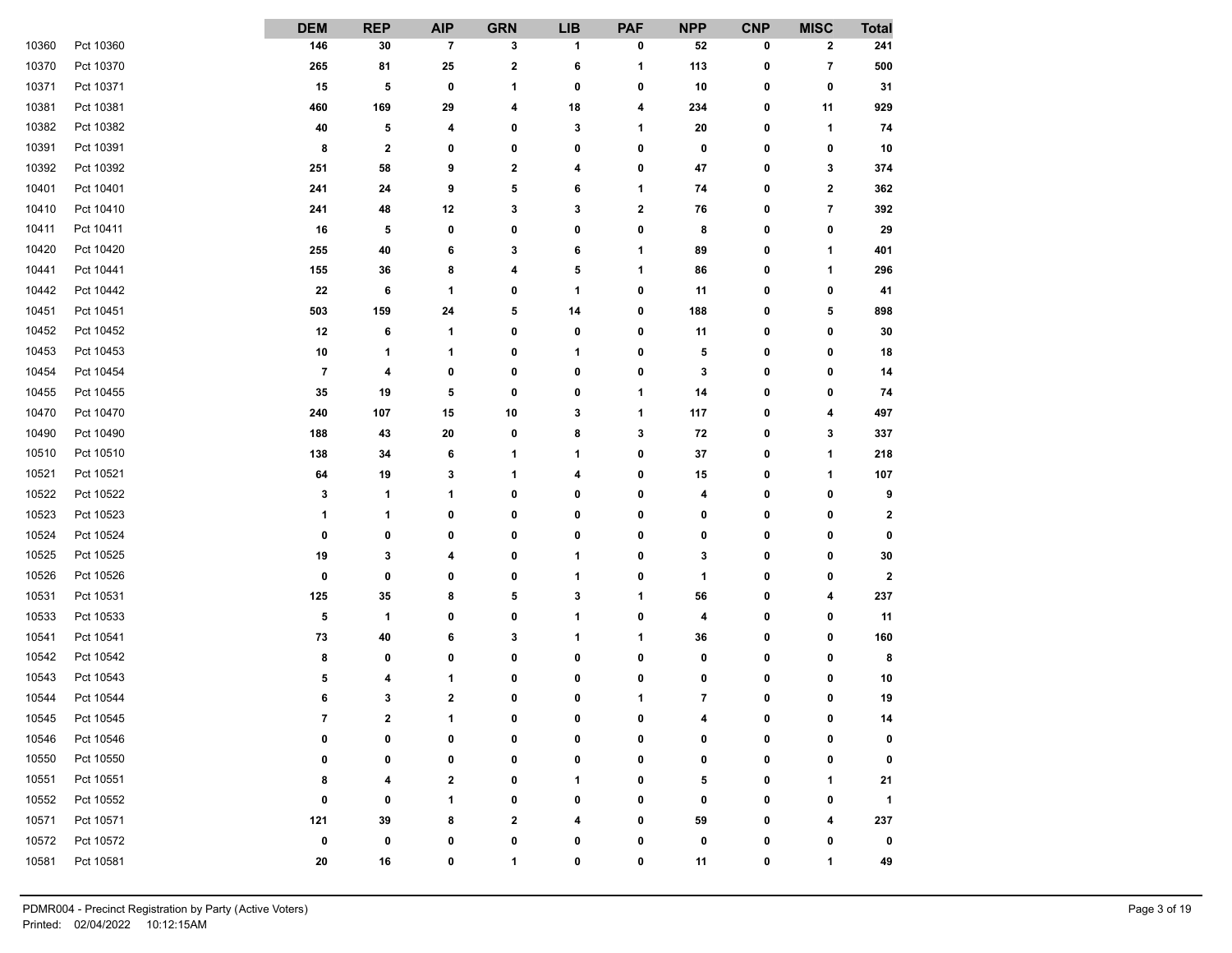|       |           | <b>DEM</b>              | <b>REP</b>  | <b>AIP</b>  | <b>GRN</b>              | <b>LIB</b>   | <b>PAF</b>   | <b>NPP</b>               | <b>CNP</b> | <b>MISC</b>             | <b>Total</b>         |
|-------|-----------|-------------------------|-------------|-------------|-------------------------|--------------|--------------|--------------------------|------------|-------------------------|----------------------|
| 10360 | Pct 10360 | 146                     | 30          | 7           | 3                       | 1            | 0            | 52                       | 0          | $\mathbf{2}$            | 241                  |
| 10370 | Pct 10370 | 265                     | 81          | 25          | $\overline{\mathbf{2}}$ | 6            | 1            | 113                      | 0          | $\overline{7}$          | 500                  |
| 10371 | Pct 10371 | 15                      | 5           | 0           | 1                       | 0            | 0            | 10                       | 0          | 0                       | 31                   |
| 10381 | Pct 10381 | 460                     | 169         | 29          | 4                       | 18           | 4            | 234                      | 0          | 11                      | 929                  |
| 10382 | Pct 10382 | 40                      | 5           | 4           | 0                       | 3            | 1            | 20                       | 0          | 1                       | 74                   |
| 10391 | Pct 10391 | 8                       | $\mathbf 2$ | 0           | 0                       | 0            | 0            | 0                        | 0          | 0                       | 10                   |
| 10392 | Pct 10392 | 251                     | 58          | 9           | $\mathbf 2$             | 4            | 0            | 47                       | 0          | 3                       | 374                  |
| 10401 | Pct 10401 | 241                     | 24          | 9           | 5                       | 6            | 1            | 74                       | 0          | $\mathbf 2$             | 362                  |
| 10410 | Pct 10410 | 241                     | 48          | 12          | 3                       | 3            | 2            | 76                       | 0          | $\overline{\mathbf{r}}$ | 392                  |
| 10411 | Pct 10411 | 16                      | 5           | 0           | 0                       | 0            | 0            | 8                        | 0          | 0                       | 29                   |
| 10420 | Pct 10420 | 255                     | 40          | 6           | 3                       | 6            | 1            | 89                       | 0          | 1                       | 401                  |
| 10441 | Pct 10441 | 155                     | 36          | 8           | 4                       | 5            | 1            | 86                       | 0          | 1                       | 296                  |
| 10442 | Pct 10442 | 22                      | 6           | 1           | 0                       | 1            | 0            | 11                       | 0          | 0                       | 41                   |
| 10451 | Pct 10451 | 503                     | 159         | 24          | 5                       | 14           | 0            | 188                      | 0          | 5                       | 898                  |
| 10452 | Pct 10452 | 12                      | 6           | 1           | 0                       | 0            | 0            | 11                       | 0          | 0                       | 30                   |
| 10453 | Pct 10453 | 10                      | 1           | 1           | 0                       | $\mathbf{1}$ | 0            | 5                        | 0          | 0                       | 18                   |
| 10454 | Pct 10454 | $\overline{\mathbf{7}}$ | 4           | 0           | 0                       | 0            | 0            | 3                        | 0          | 0                       | 14                   |
| 10455 | Pct 10455 | 35                      | 19          | 5           | 0                       | 0            | 1            | 14                       | 0          | 0                       | 74                   |
| 10470 | Pct 10470 | 240                     | 107         | 15          | 10                      | 3            | 1            | 117                      | 0          | 4                       | 497                  |
| 10490 | Pct 10490 | 188                     | 43          | 20          | 0                       | 8            | 3            | 72                       | 0          | 3                       | 337                  |
| 10510 | Pct 10510 | 138                     | 34          | 6           | 1                       | $\mathbf{1}$ | 0            | ${\bf 37}$               | 0          | 1                       | 218                  |
| 10521 | Pct 10521 | 64                      | 19          | 3           | 1                       | 4            | 0            | 15                       | 0          | 1                       | 107                  |
| 10522 | Pct 10522 | 3                       | 1           | 1           | 0                       | 0            | 0            | 4                        | 0          | 0                       | 9                    |
| 10523 | Pct 10523 | 1                       | 1           | 0           | 0                       | 0            | 0            | 0                        | 0          | 0                       | $\mathbf 2$          |
| 10524 | Pct 10524 | 0                       | 0           | 0           | 0                       | 0            | 0            | 0                        | 0          | 0                       | 0                    |
| 10525 | Pct 10525 | 19                      | 3           | 4           | 0                       | $\mathbf{1}$ | 0            | 3                        | 0          | 0                       | 30                   |
| 10526 | Pct 10526 | 0                       | 0           | 0           | 0                       | 1            | 0            | 1                        | 0          | 0                       | $\mathbf{2}$         |
| 10531 | Pct 10531 | 125                     | 35          | 8           | 5                       | 3            | 1            | 56                       | 0          | 4                       | 237                  |
| 10533 | Pct 10533 | 5                       | 1           | 0           | 0                       | 1            | 0            | 4                        | 0          | 0                       | 11                   |
| 10541 | Pct 10541 | 73                      | 40          | 6           | 3                       | 1            | 1            | 36                       | 0          | 0                       | 160                  |
| 10542 | Pct 10542 | 8                       | 0           | 0           | 0                       | 0            | 0            | 0                        | 0          | 0                       | 8                    |
| 10543 | Pct 10543 | 5                       | 4           | 1           | 0                       | 0            | 0            | 0                        | 0          | 0                       | 10                   |
| 10544 | Pct 10544 | 6                       | 3           | $\mathbf 2$ | 0                       | 0            | 1            | $\overline{\phantom{a}}$ | 0          | 0                       | 19                   |
| 10545 | Pct 10545 | 7                       | ,           | 4           | n                       | $\sqrt{2}$   | $\mathbf{r}$ | $\overline{A}$           | n          | $\mathbf{r}$            | 14                   |
| 10546 | Pct 10546 | 0                       | 0           | 0           | 0                       | 0            | 0            | 0                        | 0          | 0                       | 0                    |
| 10550 | Pct 10550 | 0                       | 0           | 0           | 0                       | 0            | 0            | 0                        | 0          | 0                       | 0                    |
| 10551 | Pct 10551 | 8                       | 4           | 2           | 0                       | 1            | 0            | 5                        | 0          | 1                       | 21                   |
| 10552 | Pct 10552 | 0                       | 0           | 1           | 0                       | 0            | 0            | 0                        | 0          | 0                       | $\blacktriangleleft$ |
| 10571 | Pct 10571 | 121                     | 39          | 8           | $\mathbf 2$             | 4            | 0            | 59                       | 0          | 4                       | 237                  |
| 10572 | Pct 10572 | 0                       | 0           | 0           | 0                       | 0            | 0            | 0                        | 0          | 0                       | 0                    |
| 10581 | Pct 10581 | 20                      | 16          | 0           | 1                       | 0            | 0            | 11                       | 0          | 1                       | 49                   |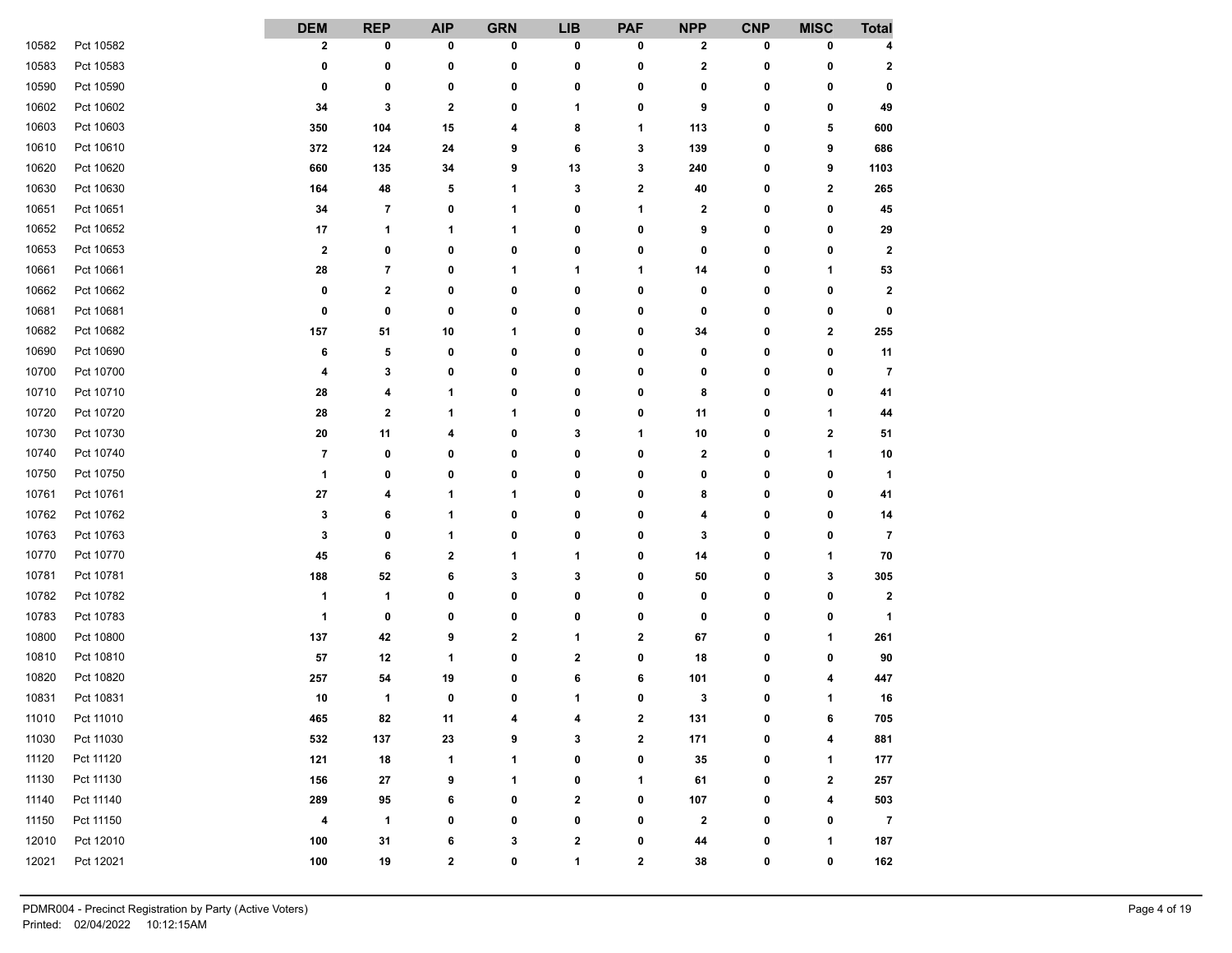|       |           | <b>DEM</b>              | <b>REP</b> | <b>AIP</b>  | <b>GRN</b>     | <b>LIB</b>     | <b>PAF</b> | <b>NPP</b>   | <b>CNP</b>   | <b>MISC</b>  | <b>Total</b>         |
|-------|-----------|-------------------------|------------|-------------|----------------|----------------|------------|--------------|--------------|--------------|----------------------|
| 10582 | Pct 10582 | $\mathbf 2$             | 0          | 0           | 0              | 0              | 0          | $\mathbf{2}$ | 0            | 0            | 4                    |
| 10583 | Pct 10583 | 0                       | 0          | 0           | 0              | 0              | 0          | 2            | 0            | 0            | $\mathbf{2}$         |
| 10590 | Pct 10590 | 0                       | 0          | 0           | 0              | 0              | 0          | 0            | 0            | 0            | 0                    |
| 10602 | Pct 10602 | 34                      | 3          | $\mathbf 2$ | 0              | 1              | 0          | 9            | 0            | 0            | 49                   |
| 10603 | Pct 10603 | 350                     | 104        | 15          | 4              | 8              | 1          | 113          | 0            | 5            | 600                  |
| 10610 | Pct 10610 | 372                     | 124        | 24          | 9              | 6              | 3          | 139          | 0            | 9            | 686                  |
| 10620 | Pct 10620 | 660                     | 135        | 34          | 9              | 13             | 3          | 240          | 0            | 9            | 1103                 |
| 10630 | Pct 10630 | 164                     | 48         | 5           | 1              | 3              | 2          | 40           | 0            | $\mathbf 2$  | 265                  |
| 10651 | Pct 10651 | 34                      | 7          | 0           | 1              | 0              | 1          | $\mathbf{2}$ | 0            | 0            | 45                   |
| 10652 | Pct 10652 | 17                      | 1          | 1           | 1              | 0              | 0          | 9            | 0            | 0            | 29                   |
| 10653 | Pct 10653 | $\mathbf{2}$            | 0          | 0           | 0              | 0              | 0          | 0            | 0            | 0            | $\mathbf{2}$         |
| 10661 | Pct 10661 | 28                      | 7          | 0           | 1              | 1              | 1          | 14           | 0            | 1            | 53                   |
| 10662 | Pct 10662 | 0                       | 2          | 0           | 0              | 0              | 0          | 0            | 0            | 0            | $\mathbf{2}$         |
| 10681 | Pct 10681 | 0                       | 0          | 0           | 0              | 0              | 0          | 0            | 0            | 0            | 0                    |
| 10682 | Pct 10682 | 157                     | 51         | 10          | 1              | 0              | 0          | 34           | 0            | $\mathbf 2$  | 255                  |
| 10690 | Pct 10690 | 6                       | 5          | 0           | 0              | 0              | 0          | 0            | 0            | 0            | 11                   |
| 10700 | Pct 10700 | 4                       | 3          | 0           | 0              | 0              | 0          | 0            | 0            | 0            | 7                    |
| 10710 | Pct 10710 | 28                      | 4          | 1           | 0              | 0              | 0          | 8            | 0            | 0            | 41                   |
| 10720 | Pct 10720 | 28                      | 2          | 1           | 1              | 0              | 0          | 11           | 0            | 1            | 44                   |
| 10730 | Pct 10730 | 20                      | 11         | 4           | 0              | 3              | 1          | 10           | 0            | $\mathbf{2}$ | 51                   |
| 10740 | Pct 10740 | $\overline{\mathbf{r}}$ | 0          | 0           | 0              | 0              | 0          | $\mathbf{2}$ | 0            | 1            | 10                   |
| 10750 | Pct 10750 | 1                       | 0          | 0           | 0              | 0              | 0          | 0            | 0            | 0            | $\blacktriangleleft$ |
| 10761 | Pct 10761 | 27                      | 4          | 1           | 1              | 0              | 0          | 8            | 0            | 0            | 41                   |
| 10762 | Pct 10762 | 3                       | 6          | 1           | 0              | 0              | 0          | 4            | 0            | 0            | 14                   |
| 10763 | Pct 10763 | 3                       | 0          | 1           | 0              | 0              | 0          | 3            | 0            | 0            | $\overline{7}$       |
| 10770 | Pct 10770 | 45                      | 6          | 2           | 1              | 1              | 0          | 14           | 0            | 1            | 70                   |
| 10781 | Pct 10781 | 188                     | 52         | 6           | 3              | 3              | 0          | 50           | 0            | 3            | 305                  |
| 10782 | Pct 10782 | 1                       | 1          | 0           | 0              | 0              | 0          | 0            | 0            | 0            | $\mathbf{2}$         |
| 10783 | Pct 10783 | 1                       | 0          | 0           | 0              | 0              | 0          | 0            | 0            | 0            | 1                    |
| 10800 | Pct 10800 | 137                     | 42         | 9           | 2              | 1              | 2          | 67           | 0            | 1            | 261                  |
| 10810 | Pct 10810 | 57                      | 12         | 1           | 0              | 2              | 0          | 18           | 0            | 0            | 90                   |
| 10820 | Pct 10820 | 257                     | 54         | 19          | 0              | 6              | 6          | 101          | 0            | 4            | 447                  |
| 10831 | Pct 10831 | 10                      | 1          | 0           | 0              | 1              | 0          | 3            | 0            | 1            | 16                   |
| 11010 | Pct 11010 | 465                     | 82         | 11          | $\overline{A}$ | $\overline{A}$ | 2          | 131          | $\mathbf{r}$ | 6            | 705                  |
| 11030 | Pct 11030 | 532                     | 137        | 23          | 9              | 3              | 2          | 171          | 0            | 4            | 881                  |
| 11120 | Pct 11120 | 121                     | ${\bf 18}$ | 1           | 1              | 0              | 0          | ${\bf 35}$   | 0            | 1            | 177                  |
| 11130 | Pct 11130 | 156                     | 27         | 9           | 1              | 0              | 1          | 61           | 0            | $\mathbf{2}$ | 257                  |
| 11140 | Pct 11140 | 289                     | 95         | 6           | 0              | $\mathbf 2$    | 0          | 107          | 0            | 4            | 503                  |
| 11150 | Pct 11150 | 4                       | 1          | 0           | 0              | 0              | 0          | $\bf{2}$     | 0            | 0            | $\overline{7}$       |
| 12010 | Pct 12010 | 100                     | 31         | 6           | 3              | $\bf{2}$       | 0          | 44           | 0            | 1            | 187                  |
| 12021 | Pct 12021 | 100                     | 19         | $\mathbf 2$ | 0              | 1              | 2          | 38           | 0            | 0            | 162                  |
|       |           |                         |            |             |                |                |            |              |              |              |                      |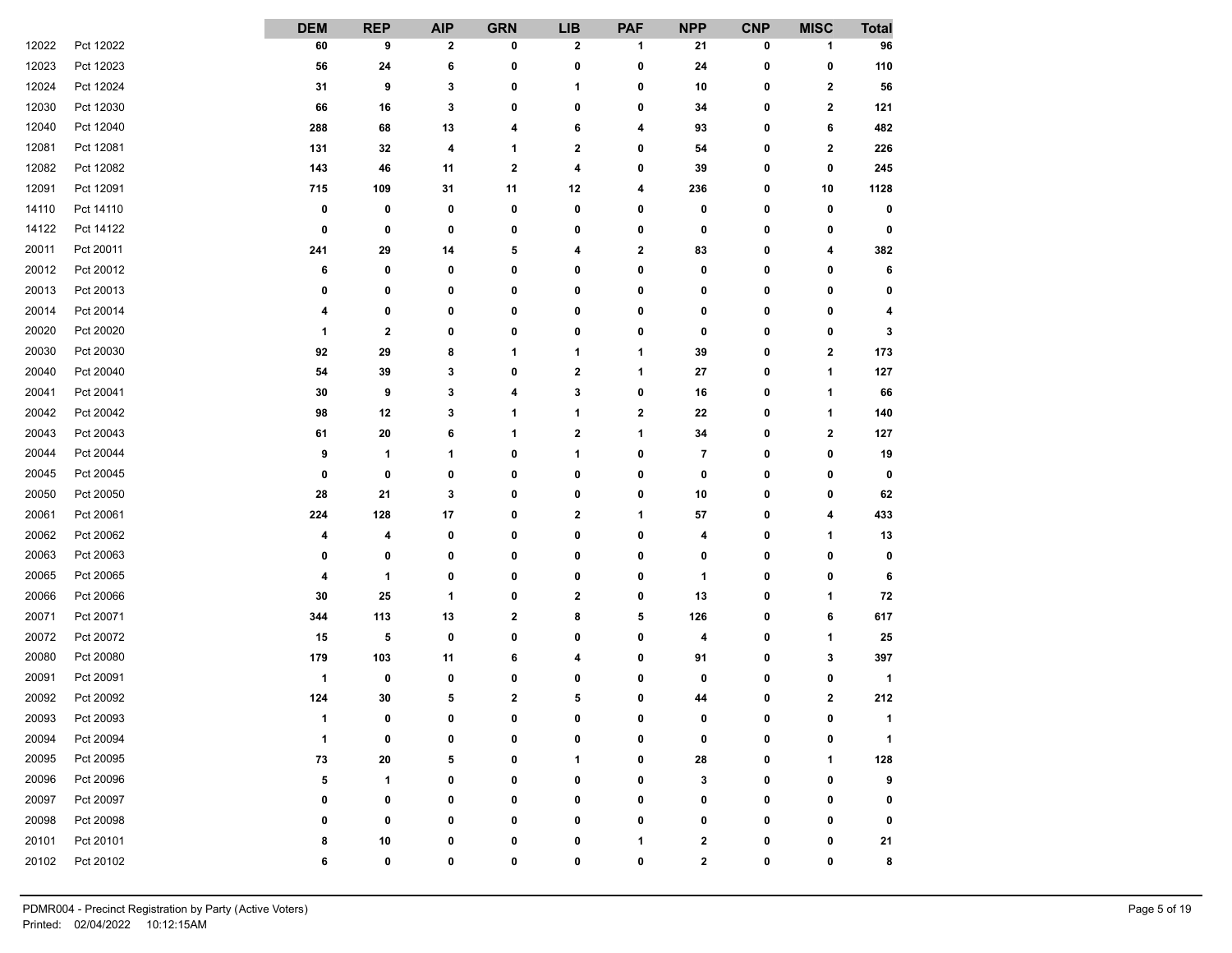|       |           | <b>DEM</b>           | <b>REP</b> | <b>AIP</b>   | <b>GRN</b> | <b>LIB</b>   | <b>PAF</b> | <b>NPP</b>   | <b>CNP</b>   | <b>MISC</b>             | <b>Total</b>         |
|-------|-----------|----------------------|------------|--------------|------------|--------------|------------|--------------|--------------|-------------------------|----------------------|
| 12022 | Pct 12022 | 60                   | 9          | $\mathbf{2}$ | 0          | 2            | 1          | 21           | 0            | 1                       | 96                   |
| 12023 | Pct 12023 | 56                   | 24         | 6            | 0          | 0            | 0          | 24           | 0            | 0                       | 110                  |
| 12024 | Pct 12024 | 31                   | 9          | 3            | 0          | 1            | 0          | 10           | 0            | $\mathbf{2}$            | 56                   |
| 12030 | Pct 12030 | 66                   | 16         | 3            | 0          | 0            | 0          | 34           | 0            | $\mathbf 2$             | 121                  |
| 12040 | Pct 12040 | 288                  | 68         | 13           | 4          | 6            | 4          | 93           | 0            | 6                       | 482                  |
| 12081 | Pct 12081 | 131                  | 32         | 4            | 1          | $\mathbf 2$  | 0          | 54           | 0            | $\overline{\mathbf{2}}$ | 226                  |
| 12082 | Pct 12082 | 143                  | 46         | 11           | 2          | 4            | 0          | 39           | 0            | 0                       | 245                  |
| 12091 | Pct 12091 | 715                  | 109        | 31           | 11         | 12           | 4          | 236          | 0            | 10                      | 1128                 |
| 14110 | Pct 14110 | 0                    | 0          | 0            | 0          | 0            | 0          | 0            | 0            | 0                       | 0                    |
| 14122 | Pct 14122 | 0                    | 0          | 0            | 0          | 0            | 0          | 0            | 0            | 0                       | 0                    |
| 20011 | Pct 20011 | 241                  | 29         | 14           | 5          | 4            | 2          | 83           | 0            | 4                       | 382                  |
| 20012 | Pct 20012 | 6                    | 0          | 0            | 0          | 0            | 0          | 0            | 0            | 0                       | 6                    |
| 20013 | Pct 20013 | 0                    | 0          | 0            | 0          | 0            | 0          | 0            | 0            | 0                       | 0                    |
| 20014 | Pct 20014 | 4                    | 0          | 0            | 0          | 0            | 0          | 0            | 0            | 0                       | 4                    |
| 20020 | Pct 20020 | 1                    | 2          | 0            | 0          | 0            | 0          | 0            | 0            | 0                       | 3                    |
| 20030 | Pct 20030 | 92                   | 29         | 8            | 1          | 1            | 1          | 39           | 0            | 2                       | 173                  |
| 20040 | Pct 20040 | 54                   | 39         | 3            | 0          | $\mathbf 2$  | 1          | 27           | 0            | 1                       | 127                  |
| 20041 | Pct 20041 | 30                   | 9          | 3            | 4          | 3            | 0          | 16           | 0            | 1                       | 66                   |
| 20042 | Pct 20042 | 98                   | 12         | 3            | 1          | 1            | 2          | 22           | 0            | 1                       | 140                  |
| 20043 | Pct 20043 | 61                   | 20         | 6            | 1          | 2            | 1          | 34           | 0            | 2                       | 127                  |
| 20044 | Pct 20044 | 9                    | 1          | 1            | 0          | 1            | 0          | 7            | 0            | 0                       | 19                   |
| 20045 | Pct 20045 | 0                    | 0          | 0            | 0          | 0            | 0          | 0            | 0            | 0                       | 0                    |
| 20050 | Pct 20050 | 28                   | 21         | 3            | 0          | 0            | 0          | 10           | 0            | 0                       | 62                   |
| 20061 | Pct 20061 | 224                  | 128        | 17           | 0          | $\mathbf 2$  | 1          | 57           | 0            | 4                       | 433                  |
| 20062 | Pct 20062 | 4                    | 4          | 0            | 0          | 0            | 0          | 4            | 0            | 1                       | 13                   |
| 20063 | Pct 20063 | 0                    | 0          | 0            | 0          | 0            | 0          | 0            | 0            | 0                       | 0                    |
| 20065 | Pct 20065 | 4                    | 1          | 0            | 0          | 0            | 0          | 1            | 0            | 0                       | 6                    |
| 20066 | Pct 20066 | 30                   | 25         | 1            | 0          | $\mathbf 2$  | 0          | 13           | 0            | 1                       | 72                   |
| 20071 | Pct 20071 | 344                  | 113        | 13           | 2          | 8            | 5          | 126          | 0            | 6                       | 617                  |
| 20072 | Pct 20072 | 15                   | 5          | 0            | 0          | 0            | 0          | 4            | 0            | 1                       | 25                   |
| 20080 | Pct 20080 | 179                  | 103        | 11           | 6          | 4            | 0          | 91           | 0            | 3                       | 397                  |
| 20091 | Pct 20091 | $\mathbf{1}$         | 0          | 0            | 0          | 0            | 0          | 0            | 0            | 0                       | $\mathbf{1}$         |
| 20092 | Pct 20092 | 124                  | 30         | 5            | 2          | 5            | 0          | 44           | 0            | $\mathbf 2$             | 212                  |
| 20093 | Pct 20093 | $\blacktriangleleft$ | n.         | $\mathbf{r}$ | U          | $\mathbf{r}$ | U.         | $\sqrt{2}$   | $\mathbf{r}$ | $\mathbf{r}$            | $\blacktriangleleft$ |
| 20094 | Pct 20094 | 1                    | 0          | 0            | 0          | 0            | 0          | 0            | 0            | 0                       | $\mathbf{1}$         |
| 20095 | Pct 20095 | 73                   | 20         | 5            | 0          | 1            | 0          | 28           | 0            | 1                       | 128                  |
| 20096 | Pct 20096 | 5                    | 1          | 0            | 0          | 0            | 0          | 3            | 0            | 0                       | 9                    |
| 20097 | Pct 20097 | 0                    | 0          | 0            | 0          | 0            | 0          | 0            | 0            | 0                       | 0                    |
| 20098 | Pct 20098 | 0                    | 0          | 0            | 0          | 0            | 0          | 0            | 0            | 0                       | 0                    |
| 20101 | Pct 20101 | 8                    | 10         | 0            | 0          | 0            | 1          | 2            | 0            | 0                       | 21                   |
| 20102 | Pct 20102 | 6                    | 0          | 0            | 0          | 0            | 0          | $\mathbf{2}$ | 0            | 0                       | 8                    |
|       |           |                      |            |              |            |              |            |              |              |                         |                      |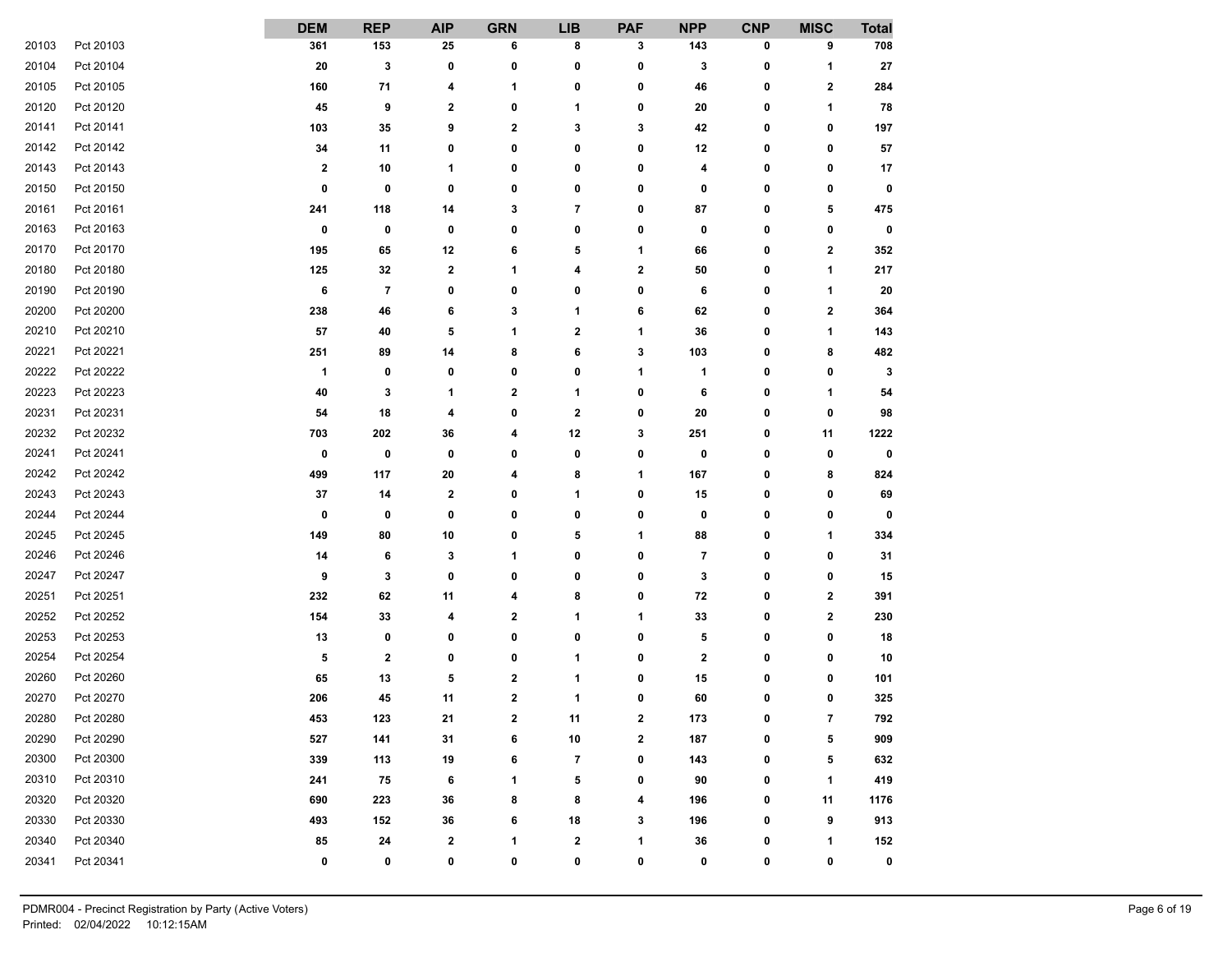|       |           | <b>DEM</b>              | <b>REP</b>   | <b>AIP</b>   | <b>GRN</b>              | <b>LIB</b>               | <b>PAF</b> | <b>NPP</b>       | <b>CNP</b>   | <b>MISC</b>    | <b>Total</b> |
|-------|-----------|-------------------------|--------------|--------------|-------------------------|--------------------------|------------|------------------|--------------|----------------|--------------|
| 20103 | Pct 20103 | 361                     | 153          | 25           | 6                       | 8                        | 3          | 143              | 0            | 9              | 708          |
| 20104 | Pct 20104 | 20                      | 3            | 0            | 0                       | 0                        | 0          | 3                | 0            | 1              | 27           |
| 20105 | Pct 20105 | 160                     | 71           | 4            | 1                       | 0                        | 0          | 46               | 0            | 2              | 284          |
| 20120 | Pct 20120 | 45                      | 9            | 2            | 0                       | $\mathbf{1}$             | 0          | 20               | 0            | 1              | 78           |
| 20141 | Pct 20141 | 103                     | 35           | 9            | $\mathbf 2$             | 3                        | 3          | 42               | 0            | 0              | 197          |
| 20142 | Pct 20142 | 34                      | 11           | 0            | 0                       | 0                        | 0          | 12               | 0            | 0              | ${\bf 57}$   |
| 20143 | Pct 20143 | $\overline{\mathbf{2}}$ | 10           | 1            | 0                       | 0                        | 0          | 4                | 0            | 0              | 17           |
| 20150 | Pct 20150 | 0                       | 0            | 0            | 0                       | 0                        | 0          | 0                | 0            | 0              | 0            |
| 20161 | Pct 20161 | 241                     | 118          | 14           | 3                       | $\overline{7}$           | 0          | 87               | 0            | 5              | 475          |
| 20163 | Pct 20163 | $\bf{0}$                | 0            | 0            | 0                       | 0                        | 0          | 0                | 0            | 0              | 0            |
| 20170 | Pct 20170 | 195                     | 65           | 12           | 6                       | 5                        | 1          | 66               | 0            | 2              | 352          |
| 20180 | Pct 20180 | 125                     | 32           | $\mathbf{2}$ | 1                       | 4                        | 2          | 50               | 0            | 1              | 217          |
| 20190 | Pct 20190 | 6                       | 7            | 0            | 0                       | 0                        | 0          | 6                | 0            | 1              | 20           |
| 20200 | Pct 20200 | 238                     | 46           | 6            | 3                       | 1                        | 6          | 62               | 0            | 2              | 364          |
| 20210 | Pct 20210 | 57                      | 40           | 5            | 1                       | $\mathbf{2}$             | 1          | 36               | 0            | 1              | 143          |
| 20221 | Pct 20221 | 251                     | 89           | 14           | 8                       | 6                        | 3          | 103              | 0            | 8              | 482          |
| 20222 | Pct 20222 | $\mathbf{1}$            | 0            | 0            | 0                       | 0                        | 1          | 1                | 0            | 0              | 3            |
| 20223 | Pct 20223 | 40                      | 3            | 1            | 2                       | 1                        | 0          | 6                | 0            | 1              | 54           |
| 20231 | Pct 20231 | 54                      | 18           | 4            | 0                       | $\mathbf 2$              | 0          | 20               | 0            | 0              | 98           |
| 20232 | Pct 20232 | 703                     | 202          | 36           | 4                       | 12                       | 3          | 251              | 0            | 11             | 1222         |
| 20241 | Pct 20241 | $\bf{0}$                | 0            | 0            | 0                       | 0                        | 0          | 0                | 0            | 0              | 0            |
| 20242 | Pct 20242 | 499                     | 117          | 20           | 4                       | 8                        | 1          | 167              | 0            | 8              | 824          |
| 20243 | Pct 20243 | 37                      | 14           | $\mathbf{2}$ | 0                       | 1                        | 0          | 15               | 0            | 0              | 69           |
| 20244 | Pct 20244 | 0                       | 0            | 0            | 0                       | 0                        | 0          | 0                | 0            | 0              | 0            |
| 20245 | Pct 20245 | 149                     | 80           | $10\,$       | 0                       | 5                        | 1          | 88               | 0            | 1              | 334          |
| 20246 | Pct 20246 | 14                      | 6            | 3            | 1                       | 0                        | 0          | 7                | 0            | 0              | 31           |
| 20247 | Pct 20247 | 9                       | 3            | 0            | 0                       | 0                        | 0          | 3                | 0            | 0              | 15           |
| 20251 | Pct 20251 | 232                     | 62           | 11           | 4                       | 8                        | 0          | 72               | 0            | $\mathbf 2$    | 391          |
| 20252 | Pct 20252 | 154                     | 33           | 4            | 2                       | 1                        | 1          | 33               | 0            | $\mathbf 2$    | 230          |
| 20253 | Pct 20253 | 13                      | 0            | 0            | 0                       | 0                        | 0          | 5                | 0            | 0              | 18           |
| 20254 | Pct 20254 | 5                       | $\mathbf{2}$ | 0            | 0                       | 1                        | 0          | $\boldsymbol{2}$ | 0            | 0              | 10           |
| 20260 | Pct 20260 | 65                      | 13           | 5            | $\overline{\mathbf{2}}$ | 1                        | 0          | 15               | 0            | 0              | 101          |
| 20270 | Pct 20270 | 206                     | 45           | 11           | $\mathbf 2$             | 1                        | 0          | 60               | 0            | 0              | 325          |
| 20280 | Pct 20280 | 453                     | 123          | 21           | ,                       | 11                       | 2          | 173              | $\mathbf{r}$ | $\overline{7}$ | 792          |
| 20290 | Pct 20290 | 527                     | 141          | 31           | 6                       | 10                       | 2          | 187              | 0            | 5              | 909          |
| 20300 | Pct 20300 | 339                     | 113          | 19           | 6                       | $\overline{\phantom{a}}$ | 0          | 143              | 0            | 5              | 632          |
| 20310 | Pct 20310 | 241                     | 75           | 6            | 1                       | 5                        | 0          | 90               | 0            | 1              | 419          |
| 20320 | Pct 20320 | 690                     | 223          | 36           | 8                       | 8                        | 4          | 196              | 0            | 11             | 1176         |
| 20330 | Pct 20330 | 493                     | 152          | 36           | 6                       | 18                       | 3          | 196              | 0            | 9              | 913          |
| 20340 | Pct 20340 | 85                      | ${\bf 24}$   | $\mathbf{2}$ | 1                       | $\mathbf{2}$             | 1          | 36               | 0            | 1              | 152          |
| 20341 | Pct 20341 | 0                       | 0            | 0            | 0                       | 0                        | 0          | 0                | 0            | 0              | 0            |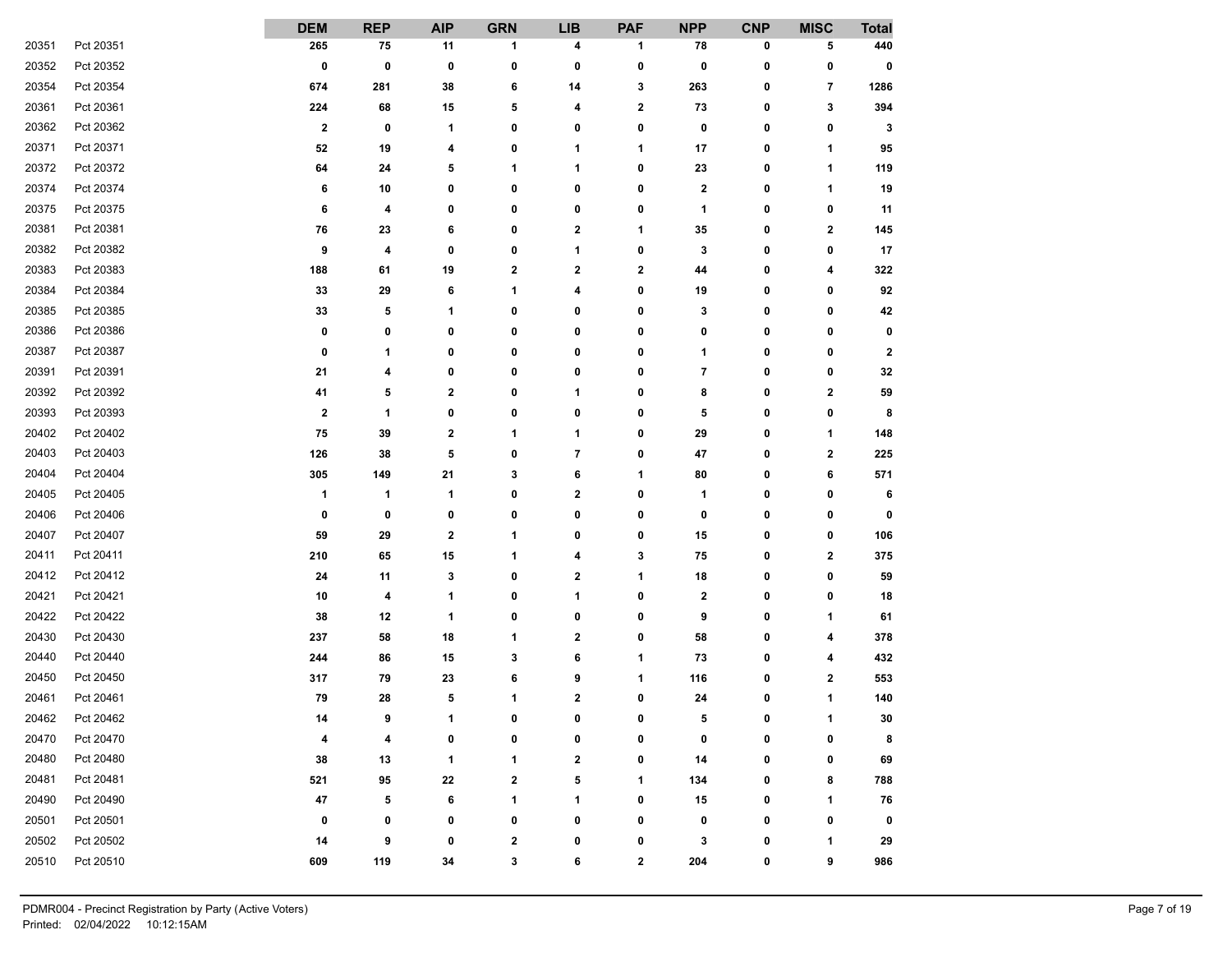|       |           | <b>DEM</b>              | <b>REP</b> | <b>AIP</b>              | <b>GRN</b> | <b>LIB</b>       | <b>PAF</b>   | <b>NPP</b>     | <b>CNP</b> | <b>MISC</b>          | <b>Total</b> |
|-------|-----------|-------------------------|------------|-------------------------|------------|------------------|--------------|----------------|------------|----------------------|--------------|
| 20351 | Pct 20351 | 265                     | 75         | 11                      | 1          | 4                | 1            | 78             | 0          | 5                    | 440          |
| 20352 | Pct 20352 | $\bf{0}$                | 0          | 0                       | 0          | 0                | 0            | 0              | 0          | 0                    | 0            |
| 20354 | Pct 20354 | 674                     | 281        | 38                      | 6          | 14               | 3            | 263            | 0          | 7                    | 1286         |
| 20361 | Pct 20361 | 224                     | 68         | 15                      | 5          | 4                | 2            | 73             | 0          | 3                    | 394          |
| 20362 | Pct 20362 | $\mathbf{2}$            | 0          | 1                       | 0          | 0                | 0            | 0              | 0          | 0                    | 3            |
| 20371 | Pct 20371 | 52                      | 19         | 4                       | 0          | 1                | 1            | 17             | 0          | 1                    | 95           |
| 20372 | Pct 20372 | 64                      | 24         | 5                       | 1          | $\mathbf{1}$     | 0            | 23             | 0          | 1                    | 119          |
| 20374 | Pct 20374 | 6                       | 10         | 0                       | 0          | 0                | 0            | 2              | 0          | 1                    | 19           |
| 20375 | Pct 20375 | 6                       | 4          | 0                       | 0          | 0                | 0            | $\mathbf{1}$   | 0          | 0                    | 11           |
| 20381 | Pct 20381 | 76                      | 23         | 6                       | 0          | $\mathbf{2}$     | 1            | 35             | 0          | $\mathbf{2}$         | 145          |
| 20382 | Pct 20382 | 9                       | 4          | 0                       | 0          | 1                | 0            | 3              | 0          | 0                    | 17           |
| 20383 | Pct 20383 | 188                     | 61         | 19                      | 2          | $\mathbf{2}$     | 2            | 44             | 0          | 4                    | 322          |
| 20384 | Pct 20384 | 33                      | 29         | 6                       | 1          | 4                | 0            | 19             | 0          | 0                    | 92           |
| 20385 | Pct 20385 | 33                      | 5          | 1                       | 0          | 0                | 0            | 3              | 0          | 0                    | 42           |
| 20386 | Pct 20386 | 0                       | 0          | 0                       | 0          | 0                | 0            | 0              | 0          | 0                    | 0            |
| 20387 | Pct 20387 | 0                       | 1          | 0                       | 0          | 0                | 0            | 1              | 0          | 0                    | $\mathbf{2}$ |
| 20391 | Pct 20391 | 21                      | 4          | 0                       | 0          | 0                | 0            | $\overline{7}$ | 0          | 0                    | 32           |
| 20392 | Pct 20392 | 41                      | 5          | $\overline{\mathbf{2}}$ | 0          | 1                | 0            | 8              | 0          | $\mathbf 2$          | 59           |
| 20393 | Pct 20393 | $\overline{\mathbf{2}}$ | 1          | 0                       | 0          | 0                | 0            | 5              | 0          | 0                    | 8            |
| 20402 | Pct 20402 | 75                      | 39         | 2                       | 1          | 1                | 0            | 29             | 0          | 1                    | 148          |
| 20403 | Pct 20403 | 126                     | 38         | 5                       | 0          | $\overline{7}$   | 0            | 47             | 0          | $\mathbf 2$          | 225          |
| 20404 | Pct 20404 | 305                     | 149        | 21                      | 3          | 6                | 1            | 80             | 0          | 6                    | 571          |
| 20405 | Pct 20405 | 1                       | 1          | 1                       | 0          | $\mathbf{2}$     | 0            | 1              | 0          | 0                    | 6            |
| 20406 | Pct 20406 | 0                       | 0          | 0                       | 0          | 0                | 0            | 0              | 0          | 0                    | 0            |
| 20407 | Pct 20407 | 59                      | 29         | 2                       | 1          | 0                | 0            | 15             | 0          | 0                    | 106          |
| 20411 | Pct 20411 | 210                     | 65         | 15                      | 1          | 4                | 3            | 75             | 0          | $\mathbf{2}$         | 375          |
| 20412 | Pct 20412 | 24                      | 11         | 3                       | 0          | 2                | 1            | 18             | 0          | 0                    | 59           |
| 20421 | Pct 20421 | 10                      | 4          | 1                       | 0          | 1                | 0            | 2              | 0          | 0                    | 18           |
| 20422 | Pct 20422 | 38                      | 12         | 1                       | 0          | 0                | 0            | 9              | 0          | 1                    | 61           |
| 20430 | Pct 20430 | 237                     | 58         | 18                      | 1          | $\mathbf 2$      | 0            | 58             | 0          | 4                    | 378          |
| 20440 | Pct 20440 | 244                     | 86         | 15                      | 3          | 6                | 1            | 73             | 0          | 4                    | 432          |
| 20450 | Pct 20450 | 317                     | 79         | 23                      | 6          | 9                | 1            | 116            | 0          | $\mathbf{2}$         | 553          |
| 20461 | Pct 20461 | 79                      | 28         | 5                       | 1          | $\mathbf{2}$     | 0            | 24             | 0          | 1                    | 140          |
| 20462 | Pct 20462 | 14                      | $\bullet$  | 1                       | n          | $\mathbf{r}$     | $\mathbf{r}$ | 5              | n          | $\blacktriangleleft$ | 30           |
| 20470 | Pct 20470 | 4                       | 4          | 0                       | 0          | 0                | 0            | 0              | 0          | 0                    | 8            |
| 20480 | Pct 20480 | 38                      | 13         | 1                       | 1          | $\boldsymbol{2}$ | 0            | 14             | 0          | 0                    | 69           |
| 20481 | Pct 20481 | 521                     | 95         | ${\bf 22}$              | 2          | 5                | 1            | 134            | 0          | 8                    | 788          |
| 20490 | Pct 20490 | 47                      | 5          | 6                       | 1          | 1                | 0            | 15             | 0          | $\mathbf{1}$         | 76           |
| 20501 | Pct 20501 | 0                       | 0          | 0                       | 0          | 0                | 0            | 0              | 0          | $\mathbf 0$          | 0            |
| 20502 | Pct 20502 | 14                      | 9          | 0                       | 2          | 0                | 0            | 3              | 0          | 1                    | 29           |
| 20510 | Pct 20510 | 609                     | 119        | 34                      | 3          | 6                | 2            | 204            | 0          | 9                    | 986          |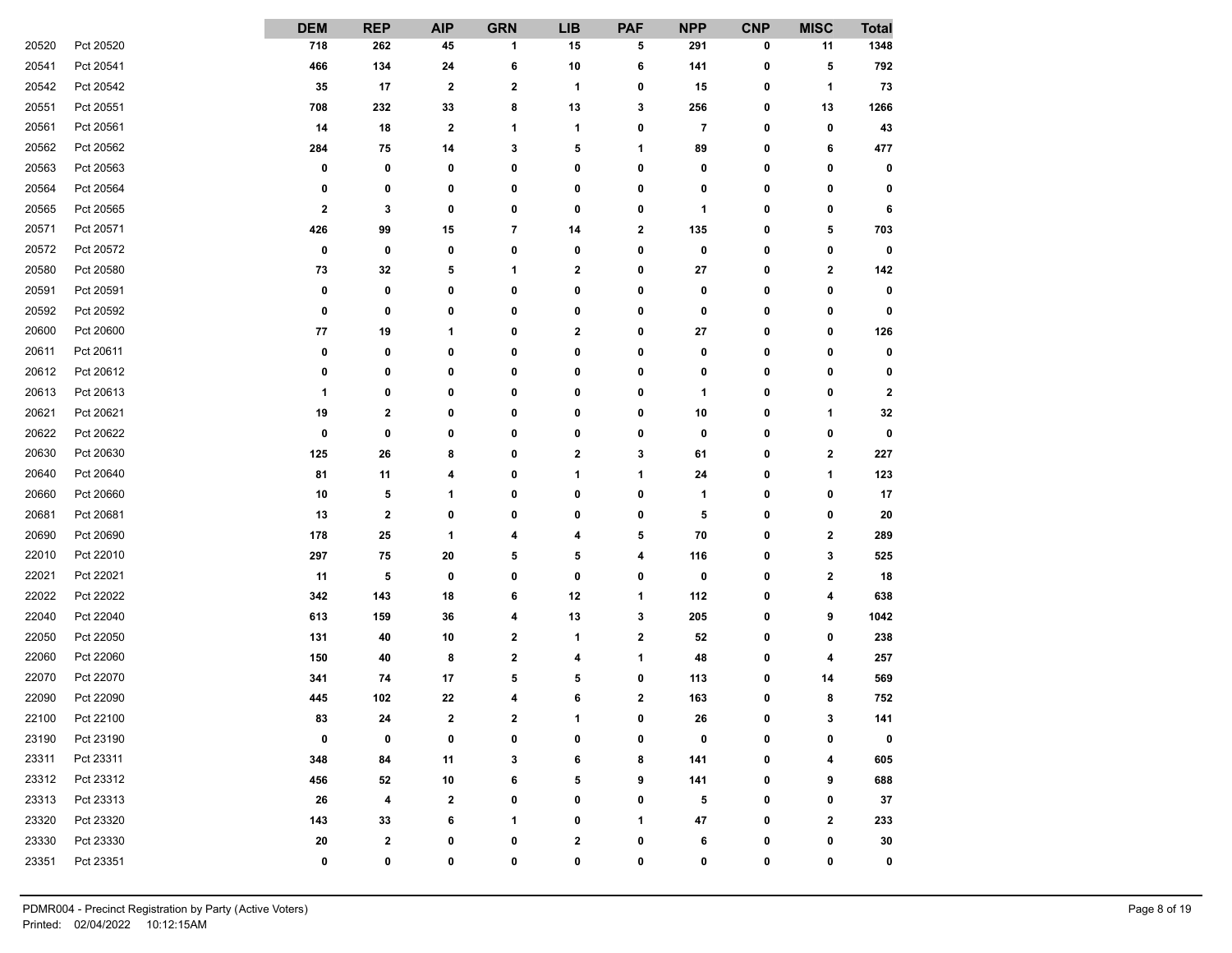|       |           | <b>DEM</b>  | <b>REP</b> | <b>AIP</b>   | <b>GRN</b>  | <b>LIB</b>           | <b>PAF</b>   | <b>NPP</b> | <b>CNP</b>   | <b>MISC</b> | <b>Total</b>     |
|-------|-----------|-------------|------------|--------------|-------------|----------------------|--------------|------------|--------------|-------------|------------------|
| 20520 | Pct 20520 | 718         | 262        | 45           | 1           | 15                   | 5            | 291        | 0            | 11          | 1348             |
| 20541 | Pct 20541 | 466         | 134        | 24           | 6           | 10                   | 6            | 141        | 0            | 5           | 792              |
| 20542 | Pct 20542 | 35          | 17         | 2            | 2           | 1                    | 0            | 15         | 0            | 1           | 73               |
| 20551 | Pct 20551 | 708         | 232        | 33           | 8           | 13                   | 3            | 256        | 0            | 13          | 1266             |
| 20561 | Pct 20561 | 14          | 18         | $\mathbf 2$  | 1           | 1                    | 0            | 7          | 0            | 0           | 43               |
| 20562 | Pct 20562 | 284         | 75         | 14           | 3           | 5                    | 1            | 89         | 0            | 6           | 477              |
| 20563 | Pct 20563 | 0           | 0          | 0            | 0           | 0                    | 0            | 0          | 0            | 0           | 0                |
| 20564 | Pct 20564 | 0           | 0          | 0            | 0           | 0                    | 0            | 0          | 0            | 0           | 0                |
| 20565 | Pct 20565 | $\mathbf 2$ | 3          | 0            | 0           | 0                    | 0            | 1          | 0            | 0           | 6                |
| 20571 | Pct 20571 | 426         | 99         | 15           | 7           | 14                   | 2            | 135        | 0            | 5           | 703              |
| 20572 | Pct 20572 | 0           | 0          | 0            | 0           | 0                    | 0            | 0          | 0            | 0           | 0                |
| 20580 | Pct 20580 | 73          | 32         | 5            | 1           | 2                    | 0            | 27         | 0            | 2           | 142              |
| 20591 | Pct 20591 | 0           | 0          | 0            | 0           | 0                    | 0            | 0          | 0            | 0           | 0                |
| 20592 | Pct 20592 | 0           | 0          | 0            | 0           | 0                    | 0            | 0          | 0            | 0           | 0                |
| 20600 | Pct 20600 | 77          | 19         | 1            | 0           | 2                    | 0            | 27         | 0            | 0           | 126              |
| 20611 | Pct 20611 | 0           | 0          | 0            | 0           | 0                    | 0            | 0          | 0            | 0           | 0                |
| 20612 | Pct 20612 | 0           | 0          | 0            | 0           | 0                    | 0            | 0          | 0            | 0           | 0                |
| 20613 | Pct 20613 | 1           | 0          | 0            | 0           | 0                    | 0            | 1          | 0            | 0           | $\boldsymbol{2}$ |
| 20621 | Pct 20621 | 19          | 2          | 0            | 0           | 0                    | 0            | 10         | 0            | 1           | 32               |
| 20622 | Pct 20622 | 0           | 0          | 0            | 0           | 0                    | 0            | 0          | 0            | 0           | 0                |
| 20630 | Pct 20630 | 125         | 26         | 8            | 0           | 2                    | 3            | 61         | 0            | 2           | 227              |
| 20640 | Pct 20640 | 81          | 11         | 4            | 0           | 1                    | 1            | 24         | 0            | 1           | 123              |
| 20660 | Pct 20660 | 10          | 5          | 1            | 0           | 0                    | 0            | 1          | 0            | 0           | 17               |
| 20681 | Pct 20681 | 13          | 2          | 0            | 0           | 0                    | 0            | 5          | 0            | 0           | 20               |
| 20690 | Pct 20690 | 178         | 25         | 1            | 4           | 4                    | 5            | 70         | 0            | 2           | 289              |
| 22010 | Pct 22010 | 297         | 75         | 20           | 5           | 5                    | 4            | 116        | 0            | 3           | 525              |
| 22021 | Pct 22021 | 11          | 5          | 0            | 0           | 0                    | 0            | 0          | 0            | 2           | 18               |
| 22022 | Pct 22022 | 342         | 143        | 18           | 6           | 12                   | 1            | 112        | 0            | 4           | 638              |
| 22040 | Pct 22040 | 613         | 159        | 36           | 4           | 13                   | 3            | 205        | 0            | 9           | 1042             |
| 22050 | Pct 22050 | 131         | 40         | 10           | $\mathbf 2$ | 1                    | $\mathbf 2$  | 52         | 0            | 0           | 238              |
| 22060 | Pct 22060 | 150         | 40         | 8            | 2           | 4                    | 1            | 48         | 0            | 4           | 257              |
| 22070 | Pct 22070 | 341         | 74         | 17           | 5           | 5                    | 0            | 113        | 0            | 14          | 569              |
| 22090 | Pct 22090 | 445         | 102        | 22           | 4           | 6                    | $\mathbf 2$  | 163        | 0            | 8           | 752              |
| 22100 | Pct 22100 | 83          | 24         | $\mathbf{z}$ | ,           | $\blacktriangleleft$ | $\mathbf{r}$ | 26         | $\mathbf{r}$ | 3           | 141              |
| 23190 | Pct 23190 | 0           | 0          | 0            | 0           | 0                    | 0            | 0          | 0            | 0           | 0                |
| 23311 | Pct 23311 | 348         | 84         | 11           | 3           | 6                    | 8            | 141        | 0            | 4           | 605              |
| 23312 | Pct 23312 | 456         | 52         | 10           | 6           | 5                    | 9            | 141        | 0            | 9           | 688              |
| 23313 | Pct 23313 | 26          | 4          | $\mathbf 2$  | 0           | 0                    | 0            | 5          | 0            | 0           | 37               |
| 23320 | Pct 23320 | 143         | 33         | 6            | 1           | 0                    | 1            | 47         | 0            | $\mathbf 2$ | 233              |
| 23330 | Pct 23330 | 20          | 2          | 0            | 0           | 2                    | 0            | 6          | 0            | 0           | 30               |
| 23351 | Pct 23351 | 0           | 0          | 0            | 0           | 0                    | 0            | 0          | 0            | 0           | 0                |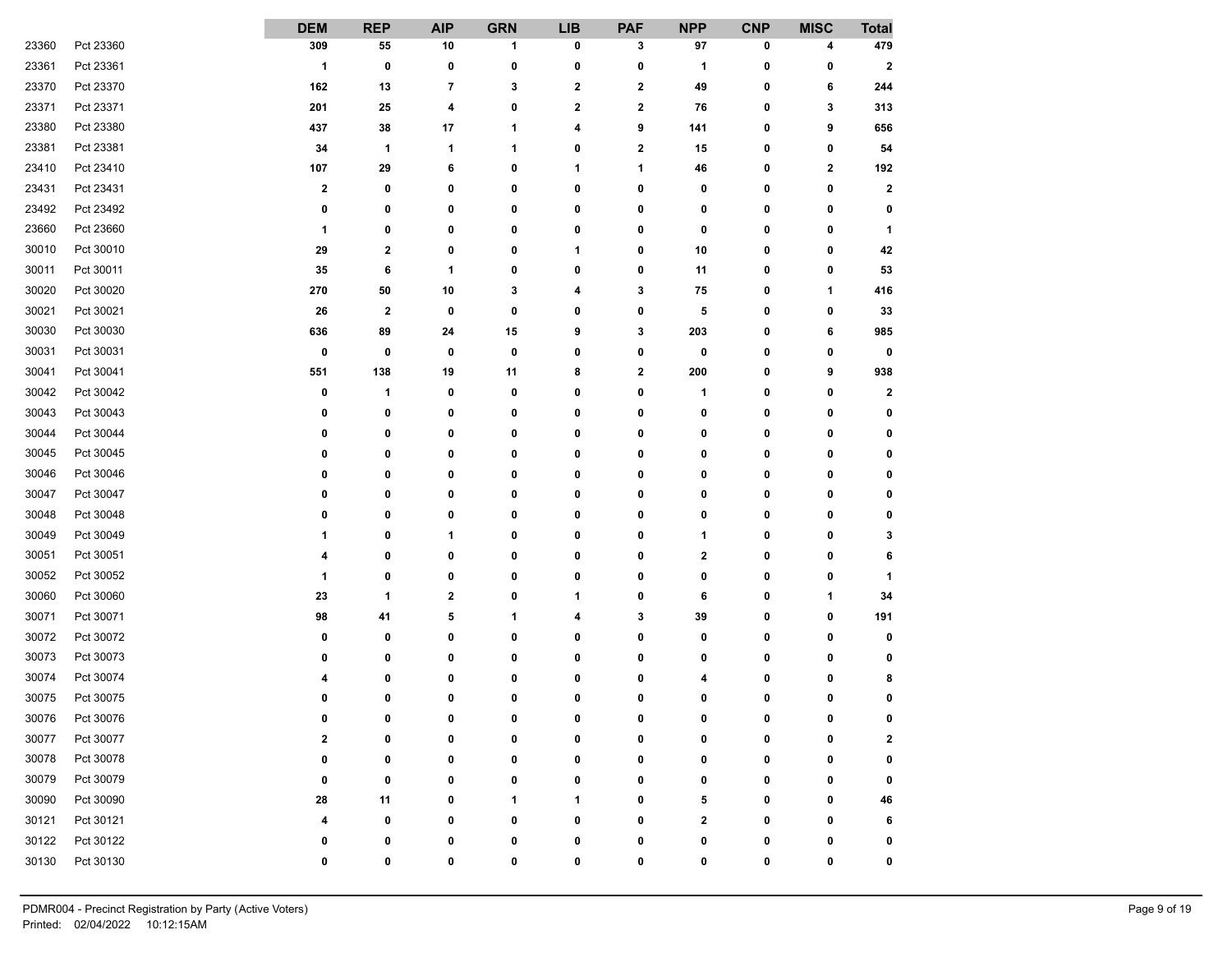|       |           | <b>DEM</b>   | <b>REP</b>   | <b>AIP</b>              | <b>GRN</b> | <b>LIB</b>  | <b>PAF</b>              | <b>NPP</b>  | <b>CNP</b> | <b>MISC</b>             | <b>Total</b> |
|-------|-----------|--------------|--------------|-------------------------|------------|-------------|-------------------------|-------------|------------|-------------------------|--------------|
| 23360 | Pct 23360 | 309          | 55           | 10                      | 1          | 0           | 3                       | 97          | 0          | 4                       | 479          |
| 23361 | Pct 23361 | $\mathbf{1}$ | 0            | 0                       | 0          | 0           | 0                       | 1           | 0          | 0                       | $\mathbf{2}$ |
| 23370 | Pct 23370 | 162          | 13           | 7                       | 3          | $\mathbf 2$ | $\overline{\mathbf{2}}$ | 49          | 0          | 6                       | 244          |
| 23371 | Pct 23371 | 201          | 25           | 4                       | 0          | 2           | $\mathbf{2}$            | 76          | 0          | 3                       | 313          |
| 23380 | Pct 23380 | 437          | 38           | 17                      | 1          | 4           | 9                       | 141         | 0          | 9                       | 656          |
| 23381 | Pct 23381 | 34           | 1            | 1                       | 1          | 0           | $\mathbf 2$             | 15          | 0          | 0                       | 54           |
| 23410 | Pct 23410 | 107          | 29           | 6                       | 0          | 1           | 1                       | 46          | 0          | $\overline{\mathbf{2}}$ | 192          |
| 23431 | Pct 23431 | $\mathbf{2}$ | 0            | 0                       | 0          | 0           | 0                       | 0           | 0          | 0                       | $\mathbf{2}$ |
| 23492 | Pct 23492 | 0            | 0            | 0                       | 0          | 0           | 0                       | 0           | 0          | 0                       | 0            |
| 23660 | Pct 23660 | 1            | 0            | 0                       | 0          | 0           | 0                       | 0           | 0          | 0                       | $\mathbf 1$  |
| 30010 | Pct 30010 | 29           | 2            | 0                       | 0          | 1           | 0                       | $10\,$      | 0          | 0                       | 42           |
| 30011 | Pct 30011 | 35           | 6            | 1                       | 0          | 0           | 0                       | 11          | 0          | 0                       | 53           |
| 30020 | Pct 30020 | 270          | 50           | 10                      | 3          | 4           | 3                       | 75          | 0          | 1                       | 416          |
| 30021 | Pct 30021 | 26           | $\mathbf 2$  | 0                       | 0          | 0           | 0                       | 5           | 0          | 0                       | 33           |
| 30030 | Pct 30030 | 636          | 89           | 24                      | 15         | 9           | 3                       | 203         | 0          | 6                       | 985          |
| 30031 | Pct 30031 | 0            | 0            | 0                       | 0          | 0           | 0                       | 0           | 0          | 0                       | $\mathbf 0$  |
| 30041 | Pct 30041 | 551          | 138          | 19                      | 11         | 8           | $\mathbf 2$             | 200         | 0          | 9                       | 938          |
| 30042 | Pct 30042 | 0            | 1            | 0                       | 0          | 0           | 0                       | 1           | 0          | 0                       | $\mathbf{2}$ |
| 30043 | Pct 30043 | 0            | 0            | 0                       | 0          | 0           | 0                       | 0           | 0          | 0                       | 0            |
| 30044 | Pct 30044 | 0            | 0            | 0                       | 0          | 0           | 0                       | 0           | 0          | 0                       | 0            |
| 30045 | Pct 30045 | 0            | 0            | 0                       | 0          | 0           | 0                       | 0           | 0          | 0                       | 0            |
| 30046 | Pct 30046 | 0            | 0            | 0                       | 0          | 0           | 0                       | 0           | 0          | 0                       | 0            |
| 30047 | Pct 30047 | 0            | 0            | 0                       | 0          | 0           | 0                       | 0           | 0          | 0                       | 0            |
| 30048 | Pct 30048 | 0            | 0            | 0                       | 0          | 0           | 0                       | 0           | 0          | 0                       | 0            |
| 30049 | Pct 30049 | 1            | 0            | 1                       | 0          | 0           | 0                       | 1           | 0          | 0                       | 3            |
| 30051 | Pct 30051 | 4            | 0            | 0                       | 0          | 0           | 0                       | 2           | 0          | 0                       | 6            |
| 30052 | Pct 30052 | 1            | 0            | 0                       | 0          | 0           | 0                       | 0           | 0          | 0                       | -1           |
| 30060 | Pct 30060 | 23           | 1            | $\overline{\mathbf{2}}$ | 0          | 1           | 0                       | 6           | 0          | 1                       | 34           |
| 30071 | Pct 30071 | 98           | 41           | 5                       | 1          | 4           | 3                       | 39          | 0          | 0                       | 191          |
| 30072 | Pct 30072 | 0            | 0            | 0                       | 0          | 0           | 0                       | 0           | 0          | 0                       | 0            |
| 30073 | Pct 30073 | 0            | 0            | 0                       | 0          | 0           | 0                       | 0           | 0          | 0                       | 0            |
| 30074 | Pct 30074 | 4            | 0            | 0                       | 0          | 0           | 0                       | 4           | 0          | 0                       | 8            |
| 30075 | Pct 30075 | 0            | 0            | 0                       | 0          | 0           | 0                       | 0           | 0          | 0                       | 0            |
| 30076 | Pct 30076 | n            | $\mathbf{r}$ | $\mathbf{r}$            | n          | $\sqrt{2}$  | $\mathbf{r}$            | n           | n          | $\mathbf{r}$            | n            |
| 30077 | Pct 30077 | 2            | 0            | 0                       | 0          | 0           | 0                       | 0           | 0          | 0                       | 2            |
| 30078 | Pct 30078 | 0            | 0            | 0                       | 0          | 0           | 0                       | 0           | 0          | 0                       | 0            |
| 30079 | Pct 30079 | 0            | 0            | 0                       | 0          | 0           | 0                       | 0           | 0          | 0                       | 0            |
| 30090 | Pct 30090 | 28           | 11           | 0                       | 1          | 1           | 0                       | 5           | 0          | 0                       | 46           |
| 30121 | Pct 30121 | 4            | 0            | 0                       | 0          | 0           | 0                       | $\mathbf 2$ | 0          | 0                       | 6            |
| 30122 | Pct 30122 | 0            | 0            | 0                       | 0          | 0           | 0                       | 0           | 0          | 0                       | 0            |
| 30130 | Pct 30130 | 0            | 0            | 0                       | 0          | 0           | 0                       | 0           | 0          | 0                       | 0            |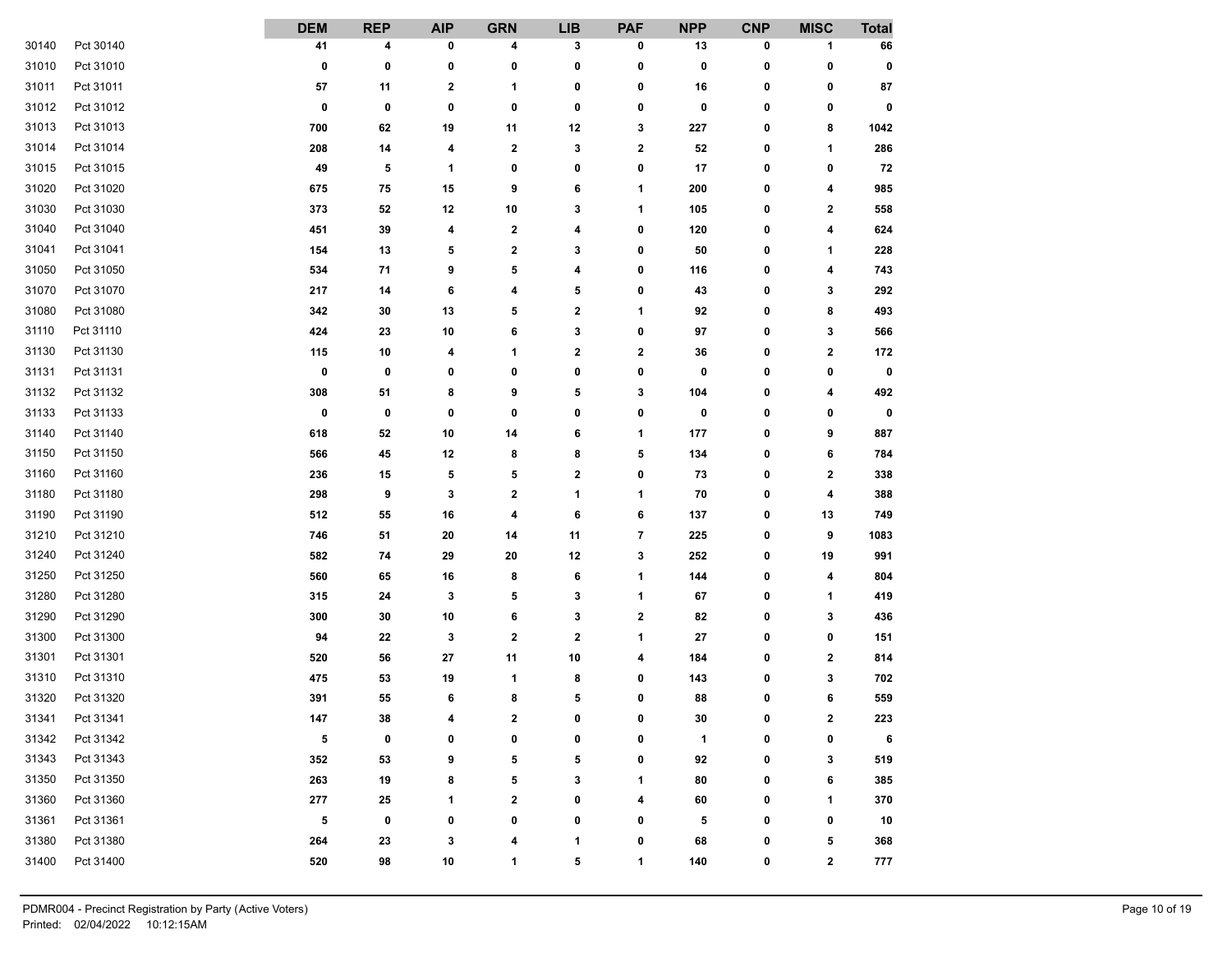|       |           | <b>DEM</b> | <b>REP</b> | <b>AIP</b>     | <b>GRN</b>  | <b>LIB</b>       | <b>PAF</b> | <b>NPP</b> | <b>CNP</b>   | <b>MISC</b>             | <b>Total</b> |
|-------|-----------|------------|------------|----------------|-------------|------------------|------------|------------|--------------|-------------------------|--------------|
| 30140 | Pct 30140 | 41         | 4          | 0              | 4           | 3                | 0          | 13         | 0            | 1                       | 66           |
| 31010 | Pct 31010 | 0          | 0          | 0              | 0           | 0                | 0          | 0          | 0            | 0                       | 0            |
| 31011 | Pct 31011 | 57         | 11         | $\mathbf 2$    | 1           | 0                | 0          | 16         | 0            | 0                       | 87           |
| 31012 | Pct 31012 | 0          | 0          | 0              | 0           | 0                | 0          | 0          | 0            | 0                       | 0            |
| 31013 | Pct 31013 | 700        | 62         | 19             | 11          | 12               | 3          | 227        | 0            | 8                       | 1042         |
| 31014 | Pct 31014 | 208        | 14         | 4              | 2           | 3                | 2          | 52         | 0            | 1                       | 286          |
| 31015 | Pct 31015 | 49         | 5          | 1              | 0           | 0                | 0          | 17         | 0            | 0                       | 72           |
| 31020 | Pct 31020 | 675        | 75         | 15             | 9           | 6                | 1          | 200        | 0            | 4                       | 985          |
| 31030 | Pct 31030 | 373        | 52         | 12             | 10          | 3                | 1          | 105        | 0            | $\mathbf{2}$            | 558          |
| 31040 | Pct 31040 | 451        | 39         | 4              | 2           | 4                | 0          | 120        | 0            | 4                       | 624          |
| 31041 | Pct 31041 | 154        | 13         | 5              | 2           | 3                | 0          | 50         | 0            | 1                       | 228          |
| 31050 | Pct 31050 | 534        | 71         | 9              | 5           | 4                | 0          | 116        | 0            | 4                       | 743          |
| 31070 | Pct 31070 | 217        | 14         | 6              | 4           | 5                | 0          | 43         | 0            | 3                       | 292          |
| 31080 | Pct 31080 | 342        | 30         | 13             | 5           | $\boldsymbol{2}$ | 1          | 92         | 0            | 8                       | 493          |
| 31110 | Pct 31110 | 424        | 23         | $10\,$         | 6           | 3                | 0          | 97         | 0            | 3                       | 566          |
| 31130 | Pct 31130 | 115        | 10         | 4              | 1           | $\mathbf 2$      | 2          | 36         | 0            | $\mathbf 2$             | 172          |
| 31131 | Pct 31131 | 0          | 0          | 0              | 0           | 0                | 0          | 0          | 0            | 0                       | $\bf{0}$     |
| 31132 | Pct 31132 | 308        | 51         | 8              | 9           | 5                | 3          | 104        | 0            | 4                       | 492          |
| 31133 | Pct 31133 | 0          | 0          | 0              | 0           | 0                | 0          | 0          | 0            | 0                       | $\bf{0}$     |
| 31140 | Pct 31140 | 618        | 52         | 10             | 14          | 6                | 1          | 177        | 0            | 9                       | 887          |
| 31150 | Pct 31150 | 566        | 45         | 12             | 8           | 8                | 5          | 134        | 0            | 6                       | 784          |
| 31160 | Pct 31160 | 236        | 15         | 5              | 5           | $\boldsymbol{2}$ | 0          | 73         | 0            | $\mathbf 2$             | 338          |
| 31180 | Pct 31180 | 298        | 9          | 3              | 2           | 1                | 1          | 70         | 0            | 4                       | 388          |
| 31190 | Pct 31190 | 512        | 55         | 16             | 4           | 6                | 6          | 137        | 0            | 13                      | 749          |
| 31210 | Pct 31210 | 746        | 51         | 20             | 14          | 11               | 7          | 225        | 0            | 9                       | 1083         |
| 31240 | Pct 31240 | 582        | 74         | 29             | 20          | 12               | 3          | 252        | 0            | 19                      | 991          |
| 31250 | Pct 31250 | 560        | 65         | 16             | 8           | 6                | 1          | 144        | 0            | 4                       | 804          |
| 31280 | Pct 31280 | 315        | 24         | 3              | 5           | 3                | 1          | 67         | 0            | 1                       | 419          |
| 31290 | Pct 31290 | 300        | 30         | 10             | 6           | 3                | 2          | 82         | 0            | 3                       | 436          |
| 31300 | Pct 31300 | 94         | 22         | 3              | $\mathbf 2$ | $\boldsymbol{2}$ | 1          | 27         | 0            | 0                       | 151          |
| 31301 | Pct 31301 | 520        | 56         | 27             | 11          | 10               | 4          | 184        | 0            | $\mathbf{2}$            | 814          |
| 31310 | Pct 31310 | 475        | 53         | 19             | 1           | 8                | 0          | 143        | 0            | 3                       | 702          |
| 31320 | Pct 31320 | 391        | 55         | 6              | 8           | 5                | 0          | 88         | 0            | 6                       | 559          |
| 31341 | Pct 31341 | 147        | ${\bf 38}$ | $\overline{A}$ | $\bullet$   | $\mathbf{0}$     | n.         | 30         | $\mathbf{0}$ | $\overline{\mathbf{2}}$ | 223          |
| 31342 | Pct 31342 | 5          | 0          | 0              | 0           | 0                | 0          | 1          | 0            | 0                       | 6            |
| 31343 | Pct 31343 | 352        | 53         | 9              | 5           | 5                | 0          | 92         | 0            | 3                       | 519          |
| 31350 | Pct 31350 | 263        | 19         | 8              | 5           | 3                | 1          | 80         | 0            | 6                       | 385          |
| 31360 | Pct 31360 | 277        | 25         | 1              | 2           | 0                | 4          | 60         | 0            | 1                       | 370          |
| 31361 | Pct 31361 | 5          | 0          | 0              | 0           | 0                | 0          | 5          | 0            | 0                       | 10           |
| 31380 | Pct 31380 | 264        | 23         | 3              | 4           | 1                | 0          | 68         | 0            | 5                       | 368          |
| 31400 | Pct 31400 | 520        | 98         | ${\bf 10}$     | 1           | 5                | 1          | 140        | 0            | $\mathbf{2}$            | 777          |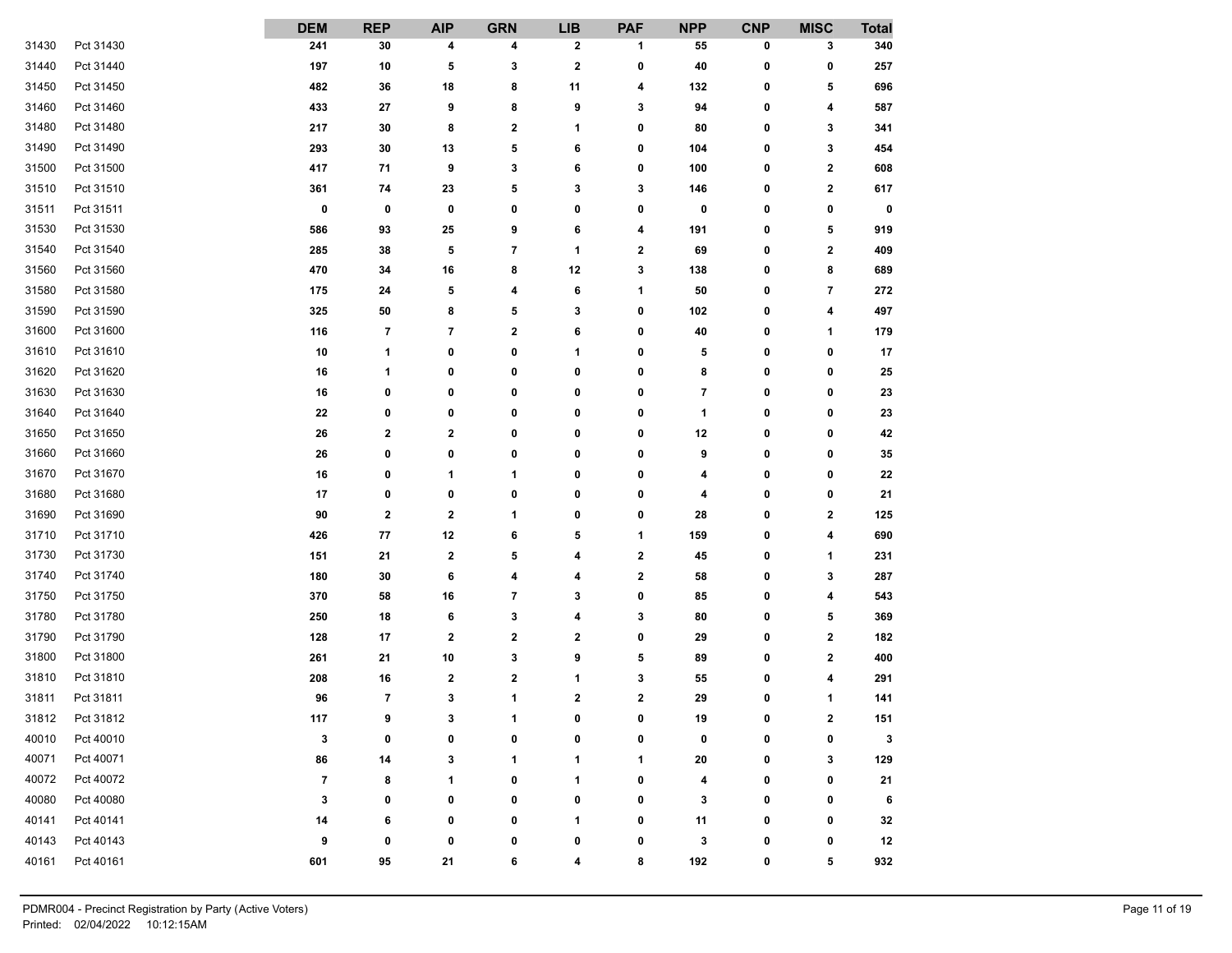|       |           | <b>DEM</b>  | <b>REP</b>               | <b>AIP</b>               | <b>GRN</b>           | <b>LIB</b>       | <b>PAF</b> | <b>NPP</b> | <b>CNP</b>   | <b>MISC</b>             | <b>Total</b> |
|-------|-----------|-------------|--------------------------|--------------------------|----------------------|------------------|------------|------------|--------------|-------------------------|--------------|
| 31430 | Pct 31430 | 241         | 30                       | 4                        | 4                    | $\mathbf 2$      | 1          | 55         | 0            | 3                       | 340          |
| 31440 | Pct 31440 | 197         | 10                       | 5                        | 3                    | $\bf{2}$         | 0          | 40         | 0            | 0                       | 257          |
| 31450 | Pct 31450 | 482         | 36                       | 18                       | 8                    | 11               | 4          | 132        | 0            | 5                       | 696          |
| 31460 | Pct 31460 | 433         | 27                       | 9                        | 8                    | 9                | 3          | 94         | 0            | 4                       | 587          |
| 31480 | Pct 31480 | 217         | 30                       | 8                        | $\mathbf 2$          | 1                | 0          | 80         | 0            | 3                       | 341          |
| 31490 | Pct 31490 | 293         | 30                       | 13                       | 5                    | 6                | 0          | 104        | 0            | 3                       | 454          |
| 31500 | Pct 31500 | 417         | 71                       | 9                        | 3                    | 6                | 0          | 100        | 0            | $\overline{\mathbf{2}}$ | 608          |
| 31510 | Pct 31510 | 361         | 74                       | 23                       | 5                    | 3                | 3          | 146        | 0            | $\mathbf{2}$            | 617          |
| 31511 | Pct 31511 | $\mathbf 0$ | 0                        | 0                        | 0                    | 0                | 0          | 0          | 0            | 0                       | 0            |
| 31530 | Pct 31530 | 586         | 93                       | 25                       | 9                    | 6                | 4          | 191        | 0            | 5                       | 919          |
| 31540 | Pct 31540 | 285         | 38                       | 5                        | 7                    | 1                | 2          | 69         | 0            | $\mathbf 2$             | 409          |
| 31560 | Pct 31560 | 470         | 34                       | 16                       | 8                    | 12               | 3          | 138        | 0            | 8                       | 689          |
| 31580 | Pct 31580 | 175         | 24                       | 5                        | 4                    | 6                | 1          | 50         | 0            | 7                       | 272          |
| 31590 | Pct 31590 | 325         | 50                       | 8                        | 5                    | 3                | 0          | 102        | 0            | 4                       | 497          |
| 31600 | Pct 31600 | 116         | 7                        | $\overline{\phantom{a}}$ | 2                    | 6                | 0          | 40         | 0            | 1                       | 179          |
| 31610 | Pct 31610 | 10          | 1                        | 0                        | 0                    | 1                | 0          | 5          | 0            | 0                       | 17           |
| 31620 | Pct 31620 | 16          | 1                        | 0                        | 0                    | 0                | 0          | 8          | 0            | 0                       | 25           |
| 31630 | Pct 31630 | 16          | 0                        | 0                        | 0                    | 0                | 0          | 7          | 0            | 0                       | 23           |
| 31640 | Pct 31640 | 22          | 0                        | 0                        | 0                    | 0                | 0          | 1          | 0            | 0                       | 23           |
| 31650 | Pct 31650 | 26          | 2                        | 2                        | 0                    | 0                | 0          | 12         | 0            | 0                       | 42           |
| 31660 | Pct 31660 | 26          | 0                        | 0                        | 0                    | 0                | 0          | 9          | 0            | 0                       | 35           |
| 31670 | Pct 31670 | 16          | 0                        | 1                        | 1                    | 0                | 0          | 4          | 0            | 0                       | 22           |
| 31680 | Pct 31680 | 17          | 0                        | 0                        | 0                    | 0                | 0          | 4          | 0            | 0                       | 21           |
| 31690 | Pct 31690 | 90          | $\mathbf{2}$             | $\bf{2}$                 | 1                    | 0                | 0          | 28         | 0            | $\mathbf{2}$            | 125          |
| 31710 | Pct 31710 | 426         | 77                       | 12                       | 6                    | 5                | 1          | 159        | 0            | 4                       | 690          |
| 31730 | Pct 31730 | 151         | 21                       | 2                        | 5                    | 4                | 2          | 45         | 0            | 1                       | 231          |
| 31740 | Pct 31740 | 180         | 30                       | 6                        | 4                    | 4                | 2          | 58         | 0            | 3                       | 287          |
| 31750 | Pct 31750 | 370         | 58                       | 16                       | 7                    | 3                | 0          | 85         | 0            | 4                       | 543          |
| 31780 | Pct 31780 | 250         | 18                       | 6                        | 3                    | 4                | 3          | 80         | 0            | 5                       | 369          |
| 31790 | Pct 31790 | 128         | 17                       | $\mathbf 2$              | $\mathbf 2$          | $\boldsymbol{2}$ | 0          | 29         | 0            | $\mathbf 2$             | 182          |
| 31800 | Pct 31800 | 261         | 21                       | 10                       | 3                    | 9                | 5          | 89         | 0            | $\mathbf{2}$            | 400          |
| 31810 | Pct 31810 | 208         | 16                       | 2                        | 2                    | 1                | 3          | 55         | 0            | 4                       | 291          |
| 31811 | Pct 31811 | 96          | $\overline{\phantom{a}}$ | 3                        | 1                    | $\mathbf 2$      | 2          | 29         | 0            | 1                       | 141          |
| 31812 | Pct 31812 | 117         | $\bullet$                | 3                        | $\blacktriangleleft$ | $\mathbf{r}$     | n.         | 19         | $\mathbf{r}$ | 2                       | 151          |
| 40010 | Pct 40010 | 3           | 0                        | 0                        | 0                    | 0                | 0          | 0          | 0            | 0                       | 3            |
| 40071 | Pct 40071 | 86          | 14                       | 3                        | 1                    | 1                | 1          | ${\bf 20}$ | 0            | 3                       | 129          |
| 40072 | Pct 40072 | 7           | 8                        | 1                        | 0                    | 1                | 0          | 4          | 0            | 0                       | 21           |
| 40080 | Pct 40080 | 3           | 0                        | 0                        | 0                    | 0                | 0          | 3          | 0            | 0                       | 6            |
| 40141 | Pct 40141 | 14          | 6                        | 0                        | 0                    | 1                | 0          | 11         | 0            | 0                       | 32           |
| 40143 | Pct 40143 | 9           | 0                        | 0                        | 0                    | 0                | 0          | 3          | 0            | 0                       | 12           |
| 40161 | Pct 40161 | 601         | 95                       | 21                       | 6                    | 4                | 8          | 192        | 0            | 5                       | 932          |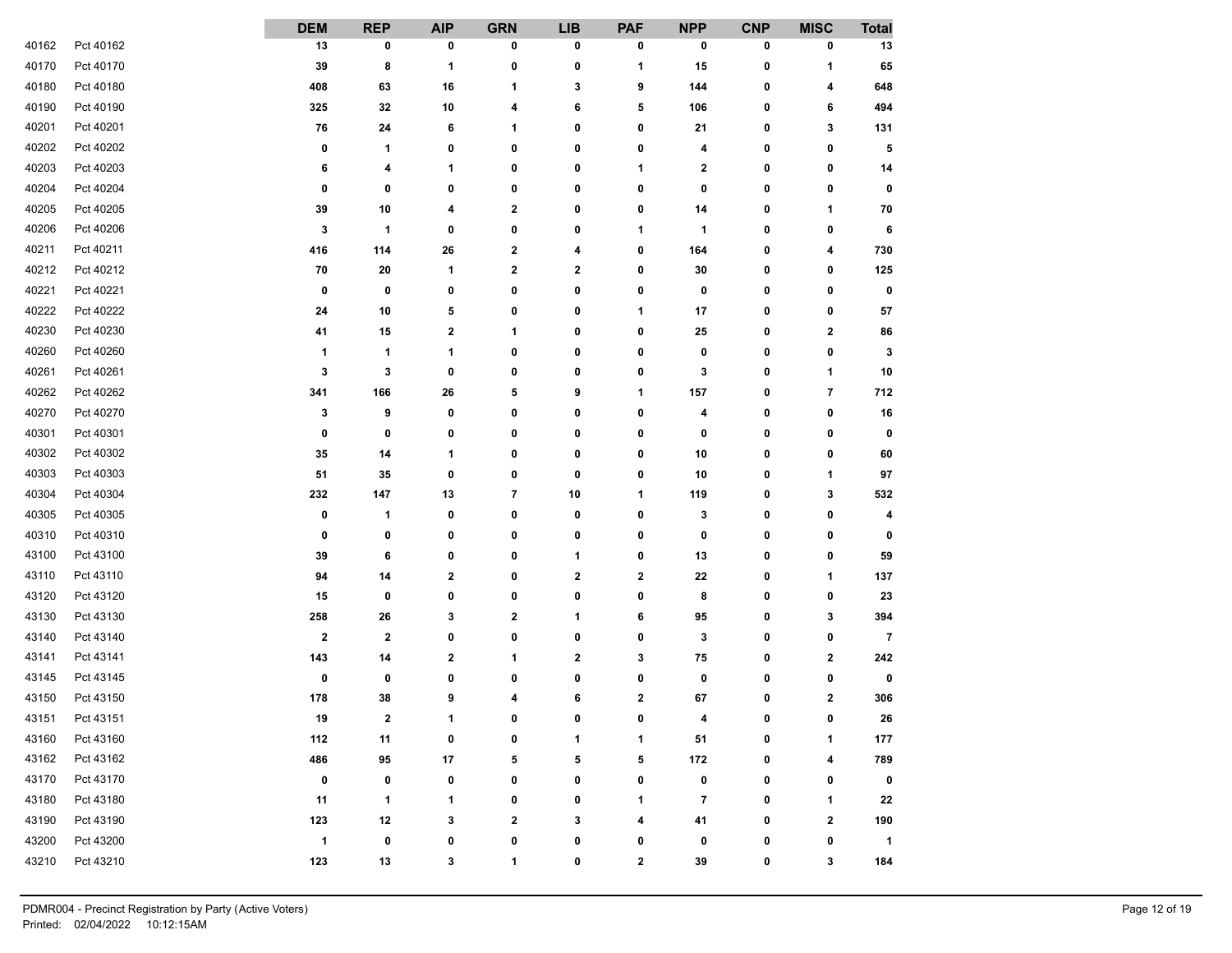|       |           | <b>DEM</b>              | <b>REP</b>     | <b>AIP</b>  | <b>GRN</b>               | <b>LIB</b>   | <b>PAF</b>   | <b>NPP</b>               | <b>CNP</b> | <b>MISC</b>             | <b>Total</b>   |
|-------|-----------|-------------------------|----------------|-------------|--------------------------|--------------|--------------|--------------------------|------------|-------------------------|----------------|
| 40162 | Pct 40162 | 13                      | 0              | 0           | 0                        | 0            | 0            | 0                        | 0          | 0                       | 13             |
| 40170 | Pct 40170 | 39                      | 8              | 1           | 0                        | 0            | 1            | 15                       | 0          | 1                       | 65             |
| 40180 | Pct 40180 | 408                     | 63             | 16          | 1                        | 3            | 9            | 144                      | 0          | 4                       | 648            |
| 40190 | Pct 40190 | 325                     | 32             | $10\,$      | 4                        | 6            | 5            | 106                      | 0          | 6                       | 494            |
| 40201 | Pct 40201 | 76                      | 24             | 6           | 1                        | 0            | 0            | 21                       | 0          | 3                       | 131            |
| 40202 | Pct 40202 | 0                       | 1              | 0           | 0                        | 0            | 0            | 4                        | 0          | 0                       | 5              |
| 40203 | Pct 40203 | 6                       | 4              | 1           | 0                        | 0            | 1            | 2                        | 0          | 0                       | 14             |
| 40204 | Pct 40204 | 0                       | 0              | 0           | 0                        | 0            | 0            | 0                        | 0          | 0                       | 0              |
| 40205 | Pct 40205 | 39                      | 10             | 4           | 2                        | 0            | 0            | 14                       | 0          | 1                       | 70             |
| 40206 | Pct 40206 | 3                       | 1              | 0           | 0                        | 0            | 1            | 1                        | 0          | 0                       | 6              |
| 40211 | Pct 40211 | 416                     | 114            | 26          | $\overline{\mathbf{2}}$  | 4            | 0            | 164                      | 0          | 4                       | 730            |
| 40212 | Pct 40212 | 70                      | 20             | 1           | 2                        | $\mathbf{2}$ | 0            | 30                       | 0          | 0                       | 125            |
| 40221 | Pct 40221 | 0                       | 0              | 0           | 0                        | 0            | 0            | 0                        | 0          | 0                       | 0              |
| 40222 | Pct 40222 | ${\bf 24}$              | 10             | 5           | 0                        | 0            | 1            | 17                       | 0          | 0                       | 57             |
| 40230 | Pct 40230 | 41                      | 15             | 2           | 1                        | 0            | 0            | 25                       | 0          | $\mathbf{2}$            | 86             |
| 40260 | Pct 40260 | 1                       | 1              | 1           | 0                        | 0            | 0            | 0                        | 0          | 0                       | 3              |
| 40261 | Pct 40261 | 3                       | 3              | $\mathbf 0$ | 0                        | 0            | 0            | 3                        | 0          | 1                       | 10             |
| 40262 | Pct 40262 | 341                     | 166            | 26          | 5                        | 9            | 1            | 157                      | 0          | $\overline{\mathbf{r}}$ | 712            |
| 40270 | Pct 40270 | 3                       | 9              | 0           | 0                        | 0            | 0            | 4                        | 0          | 0                       | 16             |
| 40301 | Pct 40301 | 0                       | 0              | 0           | 0                        | 0            | 0            | 0                        | 0          | 0                       | 0              |
| 40302 | Pct 40302 | 35                      | 14             | 1           | 0                        | 0            | 0            | 10                       | 0          | 0                       | 60             |
| 40303 | Pct 40303 | 51                      | 35             | 0           | 0                        | 0            | 0            | 10                       | 0          | 1                       | 97             |
| 40304 | Pct 40304 | 232                     | 147            | 13          | $\overline{\phantom{a}}$ | 10           | 1            | 119                      | 0          | 3                       | 532            |
| 40305 | Pct 40305 | 0                       | 1              | 0           | 0                        | 0            | 0            | 3                        | 0          | 0                       | 4              |
| 40310 | Pct 40310 | 0                       | 0              | 0           | 0                        | 0            | 0            | 0                        | 0          | 0                       | 0              |
| 43100 | Pct 43100 | 39                      | 6              | 0           | 0                        | 1            | 0            | 13                       | 0          | 0                       | 59             |
| 43110 | Pct 43110 | 94                      | 14             | 2           | 0                        | 2            | 2            | 22                       | 0          | 1                       | 137            |
| 43120 | Pct 43120 | 15                      | 0              | 0           | 0                        | 0            | 0            | 8                        | 0          | 0                       | 23             |
| 43130 | Pct 43130 | 258                     | 26             | 3           | 2                        | 1            | 6            | 95                       | 0          | 3                       | 394            |
| 43140 | Pct 43140 | $\overline{\mathbf{2}}$ | $\mathbf{2}$   | 0           | 0                        | 0            | 0            | 3                        | 0          | 0                       | 7              |
| 43141 | Pct 43141 | 143                     | 14             | 2           | 1                        | 2            | 3            | 75                       | 0          | $\mathbf{2}$            | 242            |
| 43145 | Pct 43145 | 0                       | 0              | 0           | 0                        | 0            | 0            | 0                        | 0          | 0                       | 0              |
| 43150 | Pct 43150 | 178                     | 38             | 9           | 4                        | 6            | $\mathbf{2}$ | 67                       | 0          | $\mathbf{2}$            | 306            |
| 43151 | Pct 43151 | 19                      | $\overline{2}$ | 4           | n                        | $\sqrt{2}$   | $\mathbf{r}$ | $\lambda$                | n          | $\mathbf{r}$            | ${\bf 26}$     |
| 43160 | Pct 43160 | 112                     | 11             | 0           | 0                        | 1            | 1            | 51                       | 0          | 1                       | 177            |
| 43162 | Pct 43162 | 486                     | 95             | 17          | 5                        | 5            | 5            | $172$                    | 0          | 4                       | 789            |
| 43170 | Pct 43170 | $\mathbf 0$             | 0              | 0           | 0                        | 0            | 0            | 0                        | 0          | 0                       | 0              |
| 43180 | Pct 43180 | 11                      | 1              | 1           | 0                        | 0            | 1            | $\overline{\phantom{a}}$ | 0          | $\mathbf 1$             | 22             |
| 43190 | Pct 43190 | 123                     | 12             | 3           | 2                        | 3            | 4            | 41                       | 0          | $\mathbf{2}$            | 190            |
| 43200 | Pct 43200 | $\mathbf{1}$            | 0              | 0           | 0                        | 0            | 0            | 0                        | 0          | 0                       | $\overline{1}$ |
| 43210 | Pct 43210 | 123                     | 13             | 3           | 1                        | 0            | $\mathbf{2}$ | 39                       | 0          | 3                       | 184            |
|       |           |                         |                |             |                          |              |              |                          |            |                         |                |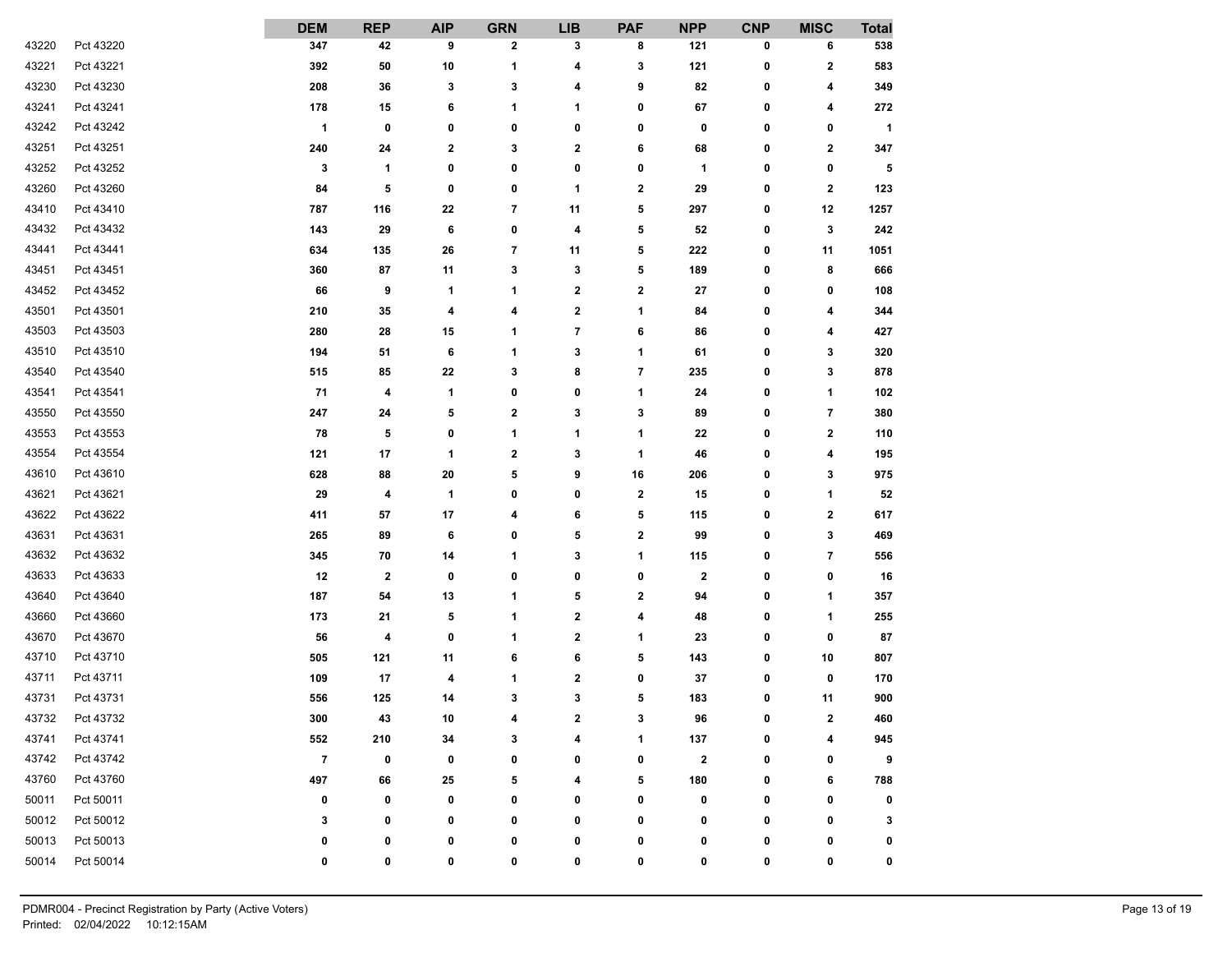|       |           | <b>DEM</b>           | <b>REP</b>   | <b>AIP</b> | <b>GRN</b>  | <b>LIB</b>       | <b>PAF</b>              | <b>NPP</b>  | <b>CNP</b>   | <b>MISC</b>  | <b>Total</b> |
|-------|-----------|----------------------|--------------|------------|-------------|------------------|-------------------------|-------------|--------------|--------------|--------------|
| 43220 | Pct 43220 | 347                  | 42           | 9          | 2           | 3                | 8                       | 121         | 0            | 6            | 538          |
| 43221 | Pct 43221 | 392                  | 50           | 10         | 1           | 4                | 3                       | 121         | 0            | $\mathbf{2}$ | 583          |
| 43230 | Pct 43230 | 208                  | 36           | 3          | 3           | 4                | 9                       | 82          | 0            | 4            | 349          |
| 43241 | Pct 43241 | 178                  | 15           | 6          | 1           | 1                | 0                       | 67          | 0            | 4            | 272          |
| 43242 | Pct 43242 | $\blacktriangleleft$ | 0            | 0          | 0           | 0                | 0                       | 0           | 0            | 0            | $\mathbf{1}$ |
| 43251 | Pct 43251 | 240                  | 24           | 2          | 3           | $\boldsymbol{2}$ | 6                       | 68          | 0            | $\mathbf 2$  | 347          |
| 43252 | Pct 43252 | 3                    | 1            | 0          | 0           | 0                | 0                       | 1           | 0            | 0            | 5            |
| 43260 | Pct 43260 | 84                   | 5            | 0          | 0           | 1                | 2                       | 29          | 0            | $\mathbf{2}$ | 123          |
| 43410 | Pct 43410 | 787                  | 116          | 22         | 7           | 11               | 5                       | 297         | 0            | 12           | 1257         |
| 43432 | Pct 43432 | 143                  | 29           | 6          | 0           | 4                | 5                       | 52          | 0            | 3            | 242          |
| 43441 | Pct 43441 | 634                  | 135          | 26         | 7           | 11               | 5                       | 222         | 0            | 11           | 1051         |
| 43451 | Pct 43451 | 360                  | 87           | 11         | 3           | 3                | 5                       | 189         | 0            | 8            | 666          |
| 43452 | Pct 43452 | 66                   | 9            | 1          | 1           | $\bf{2}$         | 2                       | 27          | 0            | 0            | 108          |
| 43501 | Pct 43501 | 210                  | 35           | 4          | 4           | $\boldsymbol{2}$ | 1                       | 84          | 0            | 4            | 344          |
| 43503 | Pct 43503 | 280                  | 28           | 15         | 1           | 7                | 6                       | 86          | 0            | 4            | 427          |
| 43510 | Pct 43510 | 194                  | 51           | 6          | 1           | 3                | 1                       | 61          | 0            | 3            | 320          |
| 43540 | Pct 43540 | 515                  | 85           | 22         | 3           | 8                | $\overline{\mathbf{r}}$ | 235         | 0            | 3            | 878          |
| 43541 | Pct 43541 | 71                   | 4            | 1          | 0           | 0                | 1                       | 24          | 0            | 1            | 102          |
| 43550 | Pct 43550 | 247                  | 24           | 5          | 2           | 3                | 3                       | 89          | 0            | 7            | 380          |
| 43553 | Pct 43553 | 78                   | 5            | 0          | 1           | 1                | 1                       | 22          | 0            | $\mathbf{2}$ | 110          |
| 43554 | Pct 43554 | 121                  | 17           | 1          | $\mathbf 2$ | 3                | 1                       | 46          | 0            | 4            | 195          |
| 43610 | Pct 43610 | 628                  | 88           | 20         | 5           | 9                | 16                      | 206         | 0            | 3            | 975          |
| 43621 | Pct 43621 | 29                   | 4            | 1          | 0           | 0                | $\overline{\mathbf{2}}$ | 15          | 0            | 1            | 52           |
| 43622 | Pct 43622 | 411                  | 57           | 17         | 4           | 6                | 5                       | 115         | 0            | $\mathbf{2}$ | 617          |
| 43631 | Pct 43631 | 265                  | 89           | 6          | 0           | 5                | 2                       | 99          | 0            | 3            | 469          |
| 43632 | Pct 43632 | 345                  | 70           | 14         | 1           | 3                | 1                       | 115         | 0            | 7            | 556          |
| 43633 | Pct 43633 | 12                   | $\mathbf{2}$ | 0          | 0           | 0                | 0                       | $\mathbf 2$ | 0            | 0            | 16           |
| 43640 | Pct 43640 | 187                  | 54           | 13         | 1           | 5                | 2                       | 94          | 0            | 1            | 357          |
| 43660 | Pct 43660 | 173                  | 21           | 5          | 1           | 2                | 4                       | 48          | 0            | 1            | 255          |
| 43670 | Pct 43670 | 56                   | 4            | 0          | 1           | $\boldsymbol{2}$ | 1                       | 23          | 0            | 0            | 87           |
| 43710 | Pct 43710 | 505                  | 121          | 11         | 6           | 6                | 5                       | 143         | 0            | 10           | 807          |
| 43711 | Pct 43711 | 109                  | 17           | 4          | 1           | $\boldsymbol{2}$ | 0                       | 37          | 0            | 0            | 170          |
| 43731 | Pct 43731 | 556                  | 125          | 14         | 3           | 3                | 5                       | 183         | 0            | 11           | 900          |
| 43732 | Pct 43732 | 300                  | 43           | 10         | $\lambda$   | 2                | 3                       | 96          | $\mathbf{r}$ | $\mathbf{z}$ | 460          |
| 43741 | Pct 43741 | 552                  | 210          | 34         | 3           | 4                | 1                       | 137         | 0            | 4            | 945          |
| 43742 | Pct 43742 | $\overline{7}$       | 0            | 0          | 0           | 0                | 0                       | $\bf{2}$    | 0            | 0            | 9            |
| 43760 | Pct 43760 | 497                  | 66           | 25         | 5           | 4                | 5                       | 180         | 0            | 6            | 788          |
| 50011 | Pct 50011 | 0                    | 0            | 0          | 0           | 0                | 0                       | 0           | 0            | 0            | 0            |
| 50012 | Pct 50012 | 3                    | 0            | 0          | 0           | 0                | 0                       | 0           | 0            | 0            | 3            |
| 50013 | Pct 50013 | 0                    | 0            | 0          | 0           | 0                | 0                       | 0           | 0            | 0            | 0            |
| 50014 | Pct 50014 | 0                    | 0            | 0          | 0           | 0                | 0                       | 0           | 0            | 0            | 0            |
|       |           |                      |              |            |             |                  |                         |             |              |              |              |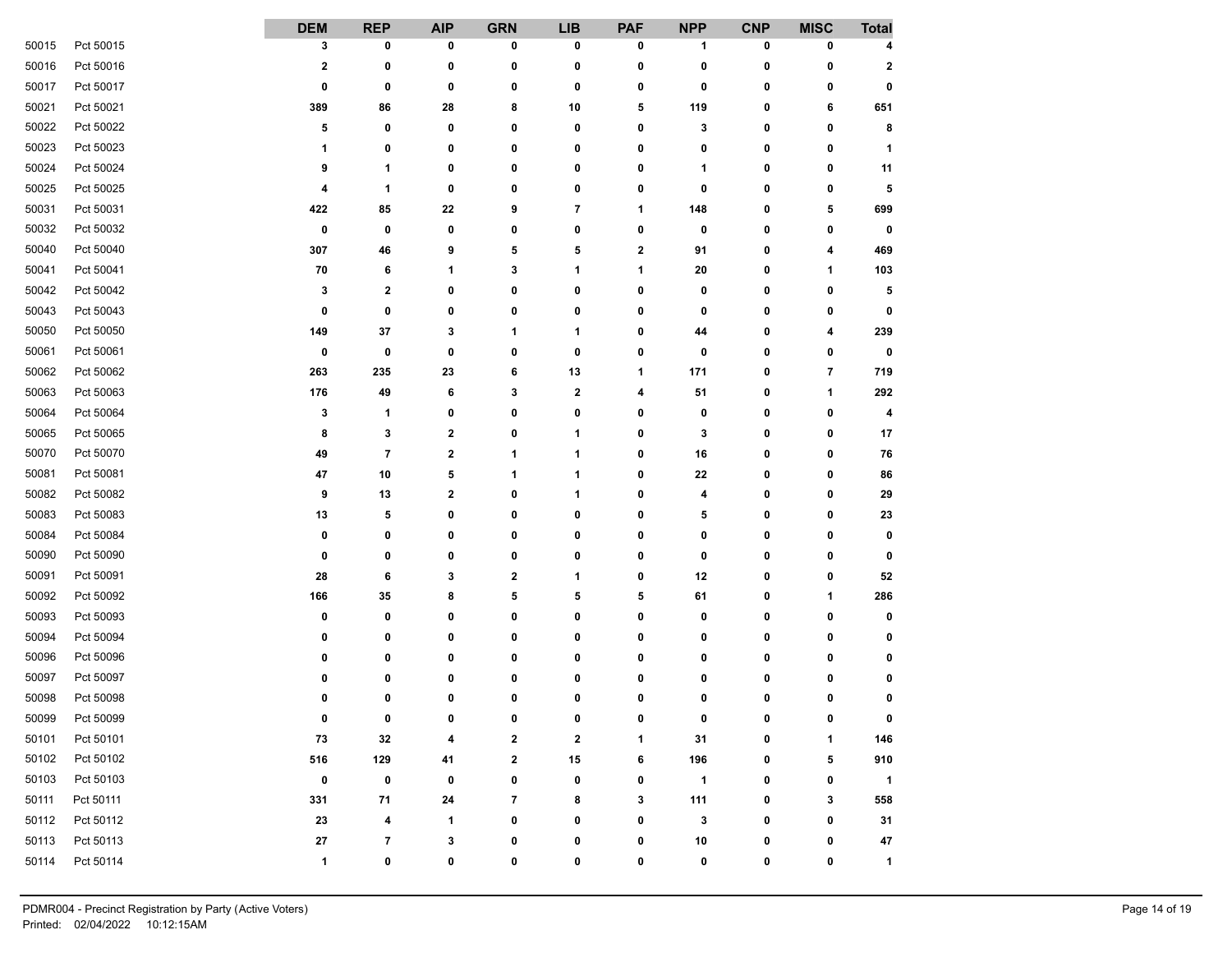|       |           | <b>DEM</b>  | <b>REP</b>  | <b>AIP</b>              | <b>GRN</b> | <b>LIB</b> | <b>PAF</b>   | <b>NPP</b>   | <b>CNP</b> | <b>MISC</b> | <b>Total</b>         |
|-------|-----------|-------------|-------------|-------------------------|------------|------------|--------------|--------------|------------|-------------|----------------------|
| 50015 | Pct 50015 | 3           | 0           | 0                       | 0          | 0          | 0            | 1            | 0          | 0           | 4                    |
| 50016 | Pct 50016 | $\mathbf 2$ | 0           | 0                       | 0          | 0          | 0            | 0            | 0          | 0           | $\boldsymbol{2}$     |
| 50017 | Pct 50017 | 0           | 0           | 0                       | 0          | 0          | 0            | 0            | 0          | 0           | 0                    |
| 50021 | Pct 50021 | 389         | 86          | 28                      | 8          | 10         | 5            | 119          | 0          | 6           | 651                  |
| 50022 | Pct 50022 | 5           | 0           | 0                       | 0          | 0          | 0            | 3            | 0          | 0           | 8                    |
| 50023 | Pct 50023 | 1           | 0           | 0                       | 0          | 0          | 0            | 0            | 0          | 0           | 1                    |
| 50024 | Pct 50024 | 9           | 1           | 0                       | 0          | 0          | 0            | 1            | 0          | 0           | 11                   |
| 50025 | Pct 50025 | 4           | 1           | 0                       | 0          | 0          | 0            | 0            | 0          | 0           | 5                    |
| 50031 | Pct 50031 | 422         | 85          | 22                      | 9          | 7          | 1            | 148          | 0          | 5           | 699                  |
| 50032 | Pct 50032 | 0           | 0           | 0                       | 0          | 0          | $\bf{0}$     | 0            | 0          | 0           | 0                    |
| 50040 | Pct 50040 | 307         | 46          | 9                       | 5          | 5          | $\mathbf 2$  | 91           | 0          | 4           | 469                  |
| 50041 | Pct 50041 | 70          | 6           | 1                       | 3          | 1          | 1            | 20           | 0          | 1           | 103                  |
| 50042 | Pct 50042 | 3           | $\mathbf 2$ | 0                       | 0          | 0          | 0            | 0            | 0          | 0           | 5                    |
| 50043 | Pct 50043 | 0           | 0           | 0                       | 0          | 0          | 0            | 0            | 0          | 0           | 0                    |
| 50050 | Pct 50050 | 149         | 37          | 3                       | 1          | 1          | 0            | 44           | 0          | 4           | 239                  |
| 50061 | Pct 50061 | 0           | 0           | 0                       | 0          | 0          | 0            | 0            | 0          | 0           | $\mathbf 0$          |
| 50062 | Pct 50062 | 263         | 235         | 23                      | 6          | 13         | 1            | 171          | 0          | 7           | 719                  |
| 50063 | Pct 50063 | 176         | 49          | 6                       | 3          | 2          | 4            | 51           | 0          | 1           | 292                  |
| 50064 | Pct 50064 | 3           | 1           | 0                       | 0          | 0          | 0            | 0            | 0          | 0           | 4                    |
| 50065 | Pct 50065 | 8           | 3           | 2                       | 0          | 1          | 0            | 3            | 0          | 0           | 17                   |
| 50070 | Pct 50070 | 49          | 7           | $\overline{\mathbf{2}}$ | 1          | 1          | 0            | 16           | 0          | 0           | 76                   |
| 50081 | Pct 50081 | 47          | 10          | 5                       | 1          | 1          | 0            | 22           | 0          | 0           | 86                   |
| 50082 | Pct 50082 | 9           | 13          | 2                       | 0          | 1          | 0            | 4            | 0          | 0           | 29                   |
| 50083 | Pct 50083 | 13          | 5           | 0                       | 0          | 0          | 0            | 5            | 0          | 0           | 23                   |
| 50084 | Pct 50084 | 0           | 0           | 0                       | 0          | 0          | 0            | 0            | 0          | 0           | 0                    |
| 50090 | Pct 50090 | 0           | 0           | 0                       | 0          | 0          | 0            | 0            | 0          | 0           | 0                    |
| 50091 | Pct 50091 | 28          | 6           | 3                       | 2          | 1          | 0            | 12           | 0          | 0           | 52                   |
| 50092 | Pct 50092 | 166         | 35          | 8                       | 5          | 5          | 5            | 61           | 0          | 1           | 286                  |
| 50093 | Pct 50093 | 0           | 0           | 0                       | 0          | 0          | 0            | 0            | 0          | 0           | 0                    |
| 50094 | Pct 50094 | 0           | 0           | 0                       | 0          | 0          | 0            | 0            | 0          | 0           | 0                    |
| 50096 | Pct 50096 | 0           | 0           | 0                       | 0          | 0          | 0            | 0            | 0          | 0           | 0                    |
| 50097 | Pct 50097 | 0           | 0           | 0                       | 0          | 0          | 0            | 0            | 0          | 0           | 0                    |
| 50098 | Pct 50098 | 0           | 0           | 0                       | 0          | 0          | 0            | 0            | 0          | 0           | 0                    |
| 50099 | Pct 50099 | 0           | $\sqrt{2}$  | $\mathbf{r}$            | ŋ          | $\sqrt{2}$ | $\mathbf{r}$ | $\sqrt{2}$   | n          | U           |                      |
| 50101 | Pct 50101 | 73          | 32          | 4                       | 2          | 2          | 1            | 31           | 0          | 1           | 146                  |
| 50102 | Pct 50102 | 516         | 129         | 41                      | 2          | 15         | 6            | 196          | 0          | 5           | 910                  |
| 50103 | Pct 50103 | $\pmb{0}$   | 0           | 0                       | 0          | 0          | 0            | $\mathbf{1}$ | 0          | 0           | $\blacktriangleleft$ |
| 50111 | Pct 50111 | 331         | 71          | 24                      | 7          | 8          | 3            | 111          | 0          | 3           | 558                  |
| 50112 | Pct 50112 | 23          | 4           | 1                       | 0          | 0          | 0            | 3            | 0          | 0           | 31                   |
| 50113 | Pct 50113 | ${\bf 27}$  | 7           | 3                       | 0          | 0          | 0            | 10           | 0          | 0           | 47                   |
| 50114 | Pct 50114 | 1           | 0           | 0                       | 0          | 0          | 0            | 0            | 0          | 0           | $\mathbf{1}$         |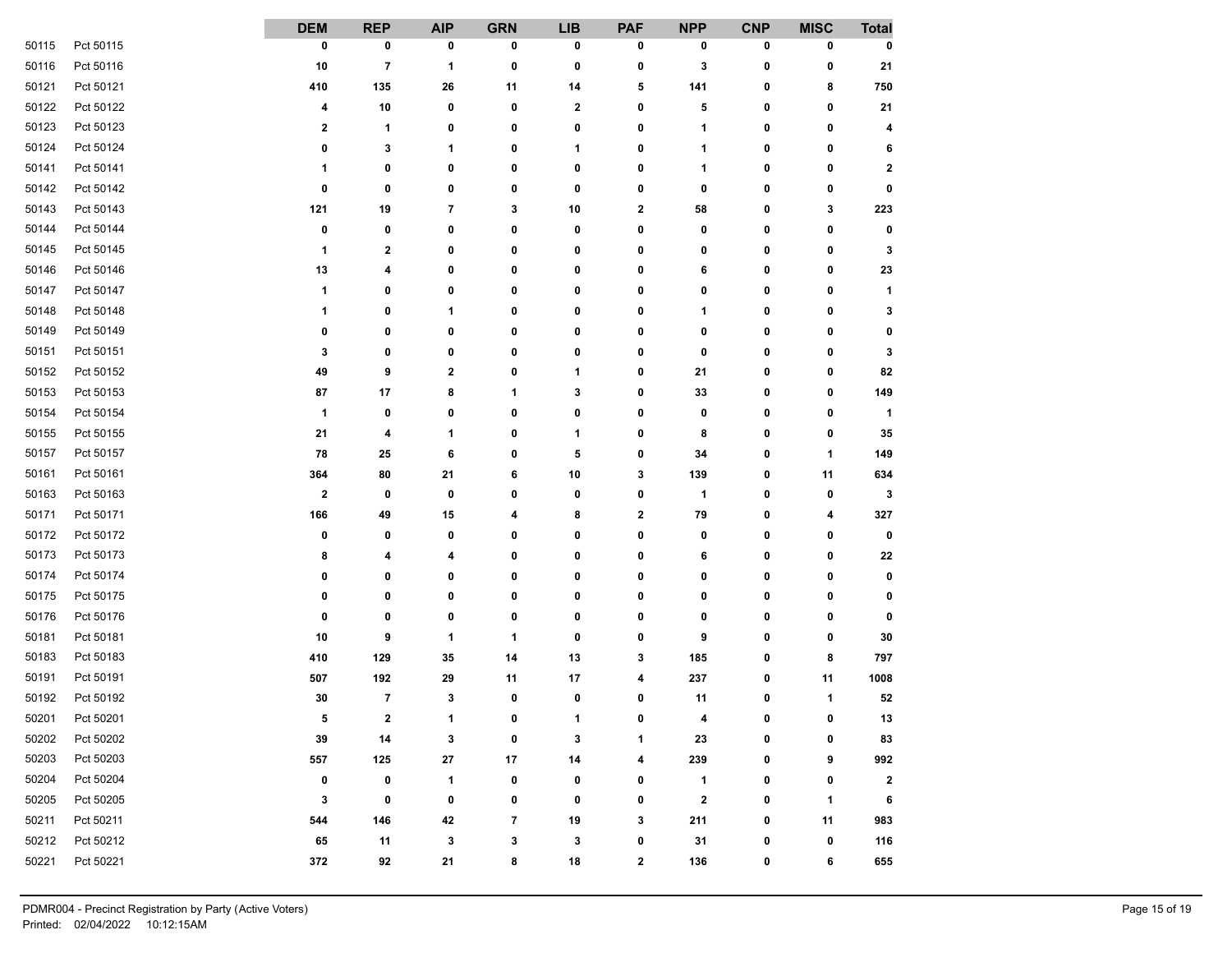|       |           | <b>DEM</b>              | <b>REP</b>              | <b>AIP</b>           | <b>GRN</b>               | <b>LIB</b>     | <b>PAF</b>   | <b>NPP</b>  | <b>CNP</b>   | <b>MISC</b>  | <b>Total</b> |
|-------|-----------|-------------------------|-------------------------|----------------------|--------------------------|----------------|--------------|-------------|--------------|--------------|--------------|
| 50115 | Pct 50115 | 0                       | 0                       | 0                    | 0                        | 0              | 0            | 0           | 0            | 0            | 0            |
| 50116 | Pct 50116 | 10                      | $\overline{\mathbf{7}}$ | 1                    | 0                        | 0              | 0            | 3           | 0            | 0            | 21           |
| 50121 | Pct 50121 | 410                     | 135                     | 26                   | 11                       | 14             | 5            | 141         | 0            | 8            | 750          |
| 50122 | Pct 50122 | 4                       | 10                      | 0                    | 0                        | $\mathbf{2}$   | 0            | 5           | 0            | 0            | 21           |
| 50123 | Pct 50123 | $\overline{\mathbf{2}}$ | 1                       | 0                    | 0                        | 0              | 0            | 1           | 0            | 0            | 4            |
| 50124 | Pct 50124 | 0                       | 3                       | 1                    | 0                        | 1              | 0            | 1           | 0            | 0            | 6            |
| 50141 | Pct 50141 | 1                       | 0                       | 0                    | 0                        | 0              | 0            | 1           | 0            | 0            | $\mathbf{2}$ |
| 50142 | Pct 50142 | 0                       | 0                       | 0                    | 0                        | 0              | 0            | 0           | 0            | 0            | 0            |
| 50143 | Pct 50143 | 121                     | 19                      | $\overline{7}$       | 3                        | 10             | $\mathbf{2}$ | 58          | 0            | 3            | 223          |
| 50144 | Pct 50144 | 0                       | 0                       | 0                    | 0                        | 0              | 0            | 0           | 0            | 0            | 0            |
| 50145 | Pct 50145 | 1                       | $\mathbf{2}$            | 0                    | 0                        | 0              | 0            | 0           | 0            | 0            | 3            |
| 50146 | Pct 50146 | 13                      | 4                       | 0                    | 0                        | 0              | 0            | 6           | 0            | 0            | 23           |
| 50147 | Pct 50147 | 1                       | 0                       | 0                    | 0                        | 0              | 0            | 0           | 0            | 0            | $\mathbf{1}$ |
| 50148 | Pct 50148 | 1                       | 0                       | 1                    | 0                        | 0              | 0            | 1           | 0            | 0            | 3            |
| 50149 | Pct 50149 | 0                       | 0                       | 0                    | 0                        | 0              | 0            | 0           | 0            | 0            | 0            |
| 50151 | Pct 50151 | 3                       | 0                       | 0                    | 0                        | 0              | 0            | 0           | 0            | 0            | 3            |
| 50152 | Pct 50152 | 49                      | 9                       | 2                    | 0                        | 1              | 0            | 21          | 0            | 0            | 82           |
| 50153 | Pct 50153 | 87                      | 17                      | 8                    | 1                        | 3              | 0            | 33          | 0            | 0            | 149          |
| 50154 | Pct 50154 | $\mathbf{1}$            | 0                       | 0                    | 0                        | 0              | 0            | 0           | 0            | 0            | $\mathbf{1}$ |
| 50155 | Pct 50155 | 21                      | 4                       | 1                    | 0                        | 1              | 0            | 8           | 0            | 0            | 35           |
| 50157 | Pct 50157 | 78                      | 25                      | 6                    | 0                        | 5              | 0            | 34          | 0            | 1            | 149          |
| 50161 | Pct 50161 | 364                     | 80                      | 21                   | 6                        | 10             | 3            | 139         | 0            | 11           | 634          |
| 50163 | Pct 50163 | $\overline{\mathbf{2}}$ | 0                       | $\mathbf 0$          | 0                        | 0              | 0            | 1           | 0            | 0            | 3            |
| 50171 | Pct 50171 | 166                     | 49                      | 15                   | 4                        | 8              | $\mathbf{2}$ | 79          | 0            | 4            | 327          |
| 50172 | Pct 50172 | 0                       | 0                       | 0                    | 0                        | 0              | 0            | 0           | 0            | 0            | 0            |
| 50173 | Pct 50173 | 8                       | 4                       | 4                    | 0                        | 0              | 0            | 6           | 0            | 0            | 22           |
| 50174 | Pct 50174 | 0                       | 0                       | 0                    | 0                        | 0              | 0            | 0           | 0            | 0            | 0            |
| 50175 | Pct 50175 | 0                       | 0                       | 0                    | 0                        | 0              | 0            | 0           | 0            | 0            | 0            |
| 50176 | Pct 50176 | 0                       | 0                       | 0                    | 0                        | 0              | 0            | 0           | 0            | 0            | 0            |
| 50181 | Pct 50181 | 10                      | 9                       | 1                    | 1                        | 0              | 0            | 9           | 0            | 0            | 30           |
| 50183 | Pct 50183 | 410                     | 129                     | 35                   | 14                       | 13             | 3            | 185         | 0            | 8            | 797          |
| 50191 | Pct 50191 | 507                     | 192                     | 29                   | 11                       | 17             | 4            | 237         | 0            | 11           | 1008         |
| 50192 | Pct 50192 | 30                      | $\overline{7}$          | 3                    | 0                        | 0              | 0            | 11          | 0            | 1            | 52           |
| 50201 | Pct 50201 | 5                       | $\bf{2}$                | $\blacktriangleleft$ | $\sqrt{2}$               | $\overline{A}$ | $\mathbf{r}$ |             | $\mathbf{r}$ | $\mathbf{r}$ | 13           |
| 50202 | Pct 50202 | 39                      | 14                      | 3                    | 0                        | 3              | 1            | 23          | 0            | 0            | 83           |
| 50203 | Pct 50203 | 557                     | 125                     | 27                   | 17                       | 14             | 4            | 239         | 0            | 9            | 992          |
| 50204 | Pct 50204 | 0                       | 0                       | $\mathbf{1}$         | 0                        | 0              | 0            | 1           | 0            | 0            | $\mathbf{2}$ |
| 50205 | Pct 50205 | 3                       | 0                       | 0                    | 0                        | 0              | 0            | $\mathbf 2$ | 0            | 1            | 6            |
| 50211 | Pct 50211 | 544                     | 146                     | 42                   | $\overline{\phantom{a}}$ | 19             | 3            | 211         | 0            | 11           | 983          |
| 50212 | Pct 50212 | 65                      | 11                      | 3                    | 3                        | 3              | 0            | 31          | 0            | 0            | 116          |
| 50221 | Pct 50221 | 372                     | 92                      | 21                   | 8                        | 18             | $\mathbf 2$  | 136         | 0            | 6            | 655          |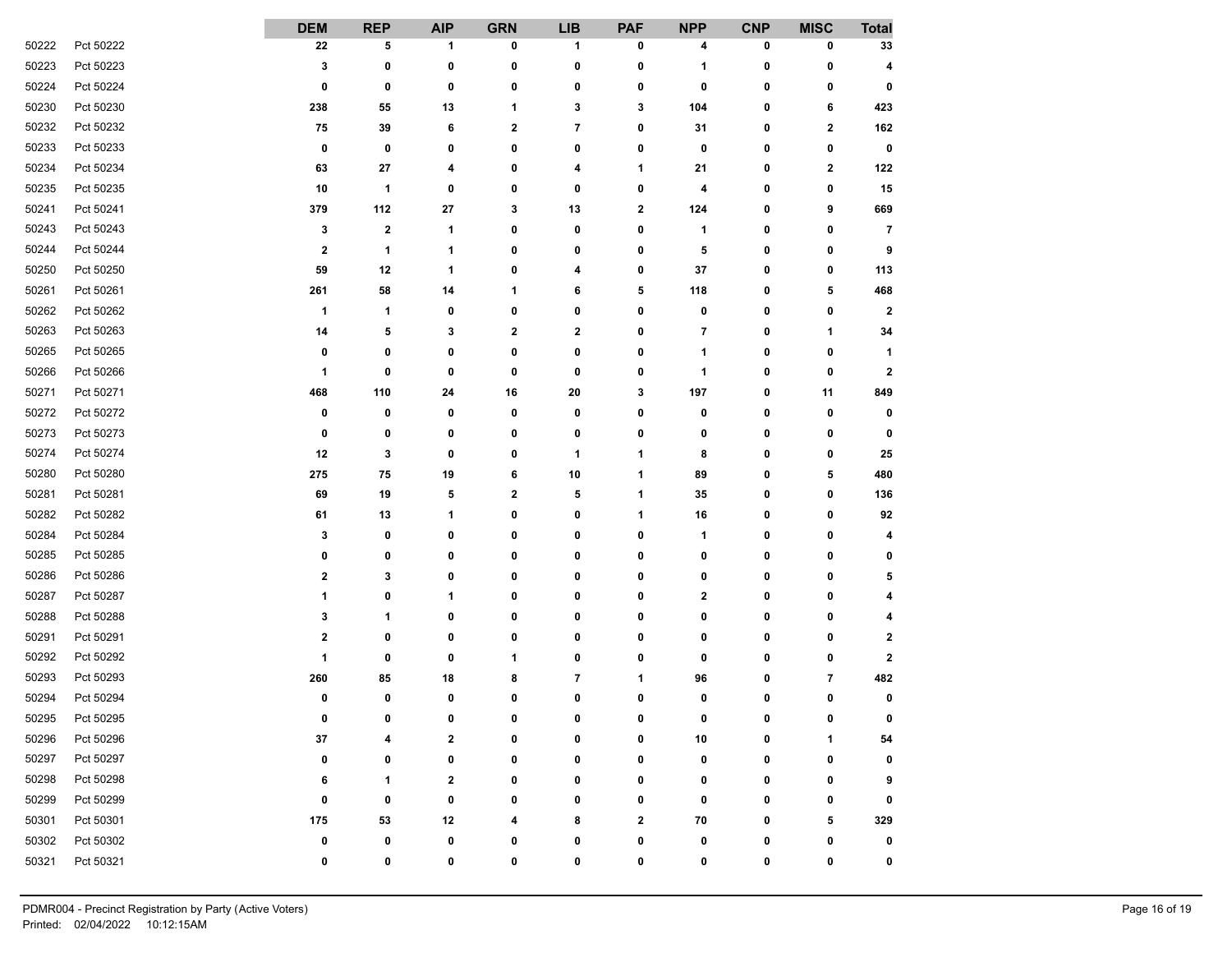|       |           | <b>DEM</b>              | <b>REP</b>   | <b>AIP</b>   | <b>GRN</b> | <b>LIB</b>     | <b>PAF</b>   | <b>NPP</b>   | <b>CNP</b> | <b>MISC</b>  | <b>Total</b>   |
|-------|-----------|-------------------------|--------------|--------------|------------|----------------|--------------|--------------|------------|--------------|----------------|
| 50222 | Pct 50222 | 22                      | 5            | 1            | 0          | 1              | 0            | 4            | 0          | 0            | 33             |
| 50223 | Pct 50223 | 3                       | 0            | 0            | 0          | 0              | 0            | 1            | 0          | 0            | 4              |
| 50224 | Pct 50224 | 0                       | 0            | 0            | 0          | 0              | 0            | 0            | 0          | 0            | 0              |
| 50230 | Pct 50230 | 238                     | 55           | 13           | 1          | 3              | 3            | 104          | 0          | 6            | 423            |
| 50232 | Pct 50232 | 75                      | 39           | 6            | 2          | $\overline{7}$ | 0            | 31           | 0          | 2            | 162            |
| 50233 | Pct 50233 | $\bf{0}$                | 0            | 0            | 0          | 0              | 0            | 0            | 0          | 0            | 0              |
| 50234 | Pct 50234 | 63                      | 27           | 4            | 0          | 4              | 1            | 21           | 0          | 2            | 122            |
| 50235 | Pct 50235 | 10                      | 1            | 0            | 0          | 0              | 0            | 4            | 0          | 0            | 15             |
| 50241 | Pct 50241 | 379                     | 112          | 27           | 3          | 13             | 2            | 124          | 0          | 9            | 669            |
| 50243 | Pct 50243 | 3                       | 2            | 1            | 0          | 0              | 0            | 1            | 0          | 0            | $\overline{7}$ |
| 50244 | Pct 50244 | $\overline{\mathbf{2}}$ | 1            | 1            | 0          | 0              | 0            | 5            | 0          | 0            | 9              |
| 50250 | Pct 50250 | 59                      | 12           | 1            | 0          | 4              | 0            | 37           | 0          | 0            | 113            |
| 50261 | Pct 50261 | 261                     | 58           | 14           | 1          | 6              | 5            | 118          | 0          | 5            | 468            |
| 50262 | Pct 50262 | 1                       | 1            | 0            | 0          | 0              | 0            | 0            | 0          | 0            | $\mathbf{2}$   |
| 50263 | Pct 50263 | 14                      | 5            | 3            | 2          | 2              | 0            | 7            | 0          | 1            | 34             |
| 50265 | Pct 50265 | 0                       | 0            | 0            | 0          | 0              | 0            | 1            | 0          | 0            | 1              |
| 50266 | Pct 50266 | 1                       | 0            | 0            | 0          | 0              | 0            | 1            | 0          | 0            | 2              |
| 50271 | Pct 50271 | 468                     | 110          | 24           | 16         | 20             | 3            | 197          | 0          | 11           | 849            |
| 50272 | Pct 50272 | 0                       | 0            | 0            | 0          | 0              | 0            | 0            | 0          | 0            | 0              |
| 50273 | Pct 50273 | 0                       | 0            | 0            | 0          | 0              | 0            | 0            | 0          | 0            | 0              |
| 50274 | Pct 50274 | 12                      | 3            | 0            | 0          | $\mathbf{1}$   | 1            | 8            | 0          | 0            | 25             |
| 50280 | Pct 50280 | 275                     | 75           | 19           | 6          | 10             | 1            | 89           | 0          | 5            | 480            |
| 50281 | Pct 50281 | 69                      | 19           | 5            | 2          | 5              | 1            | 35           | 0          | 0            | 136            |
| 50282 | Pct 50282 | 61                      | 13           | 1            | 0          | 0              | 1            | 16           | 0          | 0            | 92             |
| 50284 | Pct 50284 | 3                       | 0            | 0            | 0          | 0              | 0            | 1            | 0          | 0            | 4              |
| 50285 | Pct 50285 | 0                       | 0            | 0            | 0          | 0              | 0            | 0            | 0          | 0            | 0              |
| 50286 | Pct 50286 | $\mathbf{2}$            | 3            | 0            | 0          | 0              | 0            | 0            | 0          | 0            | 5              |
| 50287 | Pct 50287 | 1                       | 0            | 1            | 0          | 0              | 0            | 2            | 0          | 0            | 4              |
| 50288 | Pct 50288 | 3                       | 1            | 0            | 0          | 0              | 0            | 0            | 0          | 0            | 4              |
| 50291 | Pct 50291 | $\mathbf 2$             | 0            | 0            | 0          | 0              | 0            | 0            | 0          | 0            | 2              |
| 50292 | Pct 50292 | 1                       | 0            | 0            | 1          | 0              | 0            | 0            | 0          | 0            | 2              |
| 50293 | Pct 50293 | 260                     | 85           | 18           | 8          | 7              | 1            | 96           | 0          | 7            | 482            |
| 50294 | Pct 50294 | 0                       | 0            | 0            | 0          | 0              | 0            | 0            | 0          | 0            | 0              |
| 50295 | Pct 50295 | $\mathbf{r}$            | $\mathbf{r}$ | $\mathbf{r}$ | $\sqrt{2}$ | $\mathbf{r}$   | $\mathbf{r}$ | $\mathbf{r}$ | n          | $\mathbf{r}$ | n              |
| 50296 | Pct 50296 | 37                      | 4            | 2            | 0          | 0              | 0            | 10           | 0          | 1            | 54             |
| 50297 | Pct 50297 | 0                       | 0            | 0            | 0          | 0              | 0            | 0            | 0          | 0            | 0              |
| 50298 | Pct 50298 | 6                       | 1            | 2            | 0          | 0              | 0            | 0            | 0          | 0            | 9              |
| 50299 | Pct 50299 | 0                       | 0            | 0            | 0          | 0              | 0            | 0            | 0          | 0            | 0              |
| 50301 | Pct 50301 | 175                     | 53           | 12           | 4          | 8              | $\mathbf{2}$ | 70           | 0          | 5            | 329            |
| 50302 | Pct 50302 | 0                       | 0            | 0            | 0          | 0              | 0            | 0            | 0          | 0            | 0              |
| 50321 | Pct 50321 | 0                       | 0            | 0            | 0          | 0              | 0            | 0            | 0          | 0            | 0              |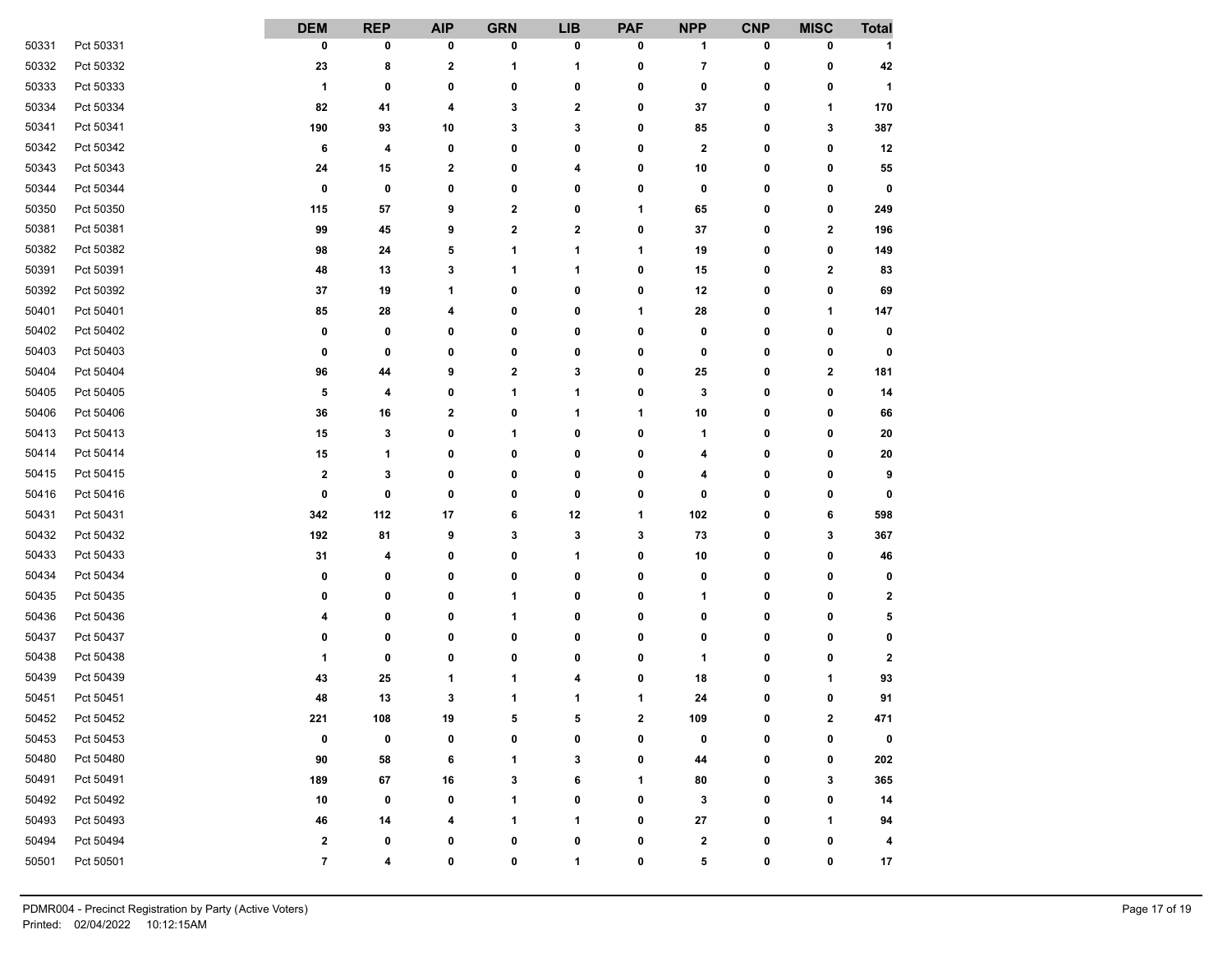|       |           | <b>DEM</b>              | <b>REP</b> | <b>AIP</b>  | <b>GRN</b>  | <b>LIB</b>   | <b>PAF</b>              | <b>NPP</b> | <b>CNP</b>   | <b>MISC</b>             | <b>Total</b>         |
|-------|-----------|-------------------------|------------|-------------|-------------|--------------|-------------------------|------------|--------------|-------------------------|----------------------|
| 50331 | Pct 50331 | 0                       | 0          | 0           | 0           | 0            | 0                       | 1          | 0            | 0                       | 1                    |
| 50332 | Pct 50332 | 23                      | 8          | $\mathbf 2$ | 1           | 1            | 0                       | 7          | 0            | 0                       | 42                   |
| 50333 | Pct 50333 | 1                       | 0          | 0           | 0           | 0            | 0                       | 0          | 0            | 0                       | $\blacktriangleleft$ |
| 50334 | Pct 50334 | 82                      | 41         | 4           | 3           | 2            | 0                       | 37         | 0            | 1                       | 170                  |
| 50341 | Pct 50341 | 190                     | 93         | 10          | 3           | 3            | 0                       | 85         | 0            | 3                       | 387                  |
| 50342 | Pct 50342 | 6                       | 4          | 0           | 0           | 0            | 0                       | 2          | 0            | 0                       | 12                   |
| 50343 | Pct 50343 | 24                      | 15         | 2           | 0           | 4            | 0                       | 10         | 0            | 0                       | 55                   |
| 50344 | Pct 50344 | 0                       | 0          | 0           | 0           | 0            | 0                       | 0          | 0            | 0                       | 0                    |
| 50350 | Pct 50350 | 115                     | 57         | 9           | 2           | 0            | 1                       | 65         | 0            | 0                       | 249                  |
| 50381 | Pct 50381 | 99                      | 45         | 9           | $\mathbf 2$ | $\mathbf 2$  | 0                       | 37         | 0            | $\mathbf 2$             | 196                  |
| 50382 | Pct 50382 | 98                      | 24         | 5           | 1           | 1            | 1                       | 19         | 0            | 0                       | 149                  |
| 50391 | Pct 50391 | 48                      | 13         | 3           | 1           | 1            | 0                       | 15         | 0            | $\overline{\mathbf{2}}$ | 83                   |
| 50392 | Pct 50392 | 37                      | 19         | 1           | 0           | 0            | 0                       | 12         | 0            | 0                       | 69                   |
| 50401 | Pct 50401 | 85                      | 28         | 4           | 0           | 0            | 1                       | 28         | 0            | 1                       | 147                  |
| 50402 | Pct 50402 | 0                       | 0          | 0           | 0           | 0            | 0                       | 0          | 0            | 0                       | 0                    |
| 50403 | Pct 50403 | 0                       | 0          | 0           | 0           | 0            | 0                       | 0          | 0            | 0                       | 0                    |
| 50404 | Pct 50404 | 96                      | 44         | 9           | 2           | 3            | 0                       | 25         | 0            | $\mathbf 2$             | 181                  |
| 50405 | Pct 50405 | 5                       | 4          | 0           | 1           | 1            | 0                       | 3          | 0            | 0                       | 14                   |
| 50406 | Pct 50406 | 36                      | 16         | 2           | 0           | 1            | 1                       | 10         | 0            | 0                       | 66                   |
| 50413 | Pct 50413 | 15                      | 3          | 0           | 1           | 0            | 0                       | 1          | 0            | 0                       | 20                   |
| 50414 | Pct 50414 | 15                      | 1          | 0           | 0           | 0            | 0                       | 4          | 0            | 0                       | ${\bf 20}$           |
| 50415 | Pct 50415 | $\overline{\mathbf{2}}$ | 3          | 0           | 0           | 0            | 0                       | 4          | 0            | 0                       | 9                    |
| 50416 | Pct 50416 | 0                       | 0          | 0           | 0           | 0            | 0                       | 0          | 0            | 0                       | 0                    |
| 50431 | Pct 50431 | 342                     | 112        | 17          | 6           | 12           | 1                       | 102        | 0            | 6                       | 598                  |
| 50432 | Pct 50432 | 192                     | 81         | 9           | 3           | 3            | 3                       | 73         | 0            | 3                       | 367                  |
| 50433 | Pct 50433 | 31                      | 4          | 0           | 0           | 1            | 0                       | 10         | 0            | 0                       | 46                   |
| 50434 | Pct 50434 | 0                       | 0          | 0           | 0           | 0            | 0                       | 0          | 0            | 0                       | 0                    |
| 50435 | Pct 50435 | 0                       | 0          | 0           | 1           | 0            | 0                       | 1          | 0            | 0                       | $\mathbf{2}$         |
| 50436 | Pct 50436 | 4                       | 0          | 0           | 1           | 0            | 0                       | 0          | 0            | 0                       | 5                    |
| 50437 | Pct 50437 | 0                       | 0          | 0           | 0           | 0            | 0                       | 0          | 0            | 0                       | 0                    |
| 50438 | Pct 50438 | 1                       | 0          | 0           | 0           | 0            | 0                       | 1          | 0            | 0                       | $\mathbf 2$          |
| 50439 | Pct 50439 | 43                      | 25         | 1           | 1           | 4            | 0                       | 18         | 0            | 1                       | 93                   |
| 50451 | Pct 50451 | 48                      | 13         | 3           | 1           | 1            | 1                       | 24         | 0            | 0                       | 91                   |
| 50452 | Pct 50452 | 221                     | 108        | 19          | E           | $\mathbf{r}$ | $\overline{\mathbf{2}}$ | 109        | $\mathbf{r}$ | $\mathbf 2$             | 471                  |
| 50453 | Pct 50453 | 0                       | 0          | 0           | 0           | 0            | 0                       | 0          | 0            | 0                       | 0                    |
| 50480 | Pct 50480 | 90                      | 58         | 6           | 1           | 3            | 0                       | 44         | 0            | 0                       | 202                  |
| 50491 | Pct 50491 | 189                     | 67         | 16          | 3           | 6            | 1                       | 80         | 0            | 3                       | 365                  |
| 50492 | Pct 50492 | 10                      | 0          | 0           | 1           | 0            | 0                       | 3          | 0            | 0                       | 14                   |
| 50493 | Pct 50493 | 46                      | 14         | 4           | 1           | 1            | 0                       | 27         | 0            | 1                       | 94                   |
| 50494 | Pct 50494 | 2                       | 0          | 0           | 0           | 0            | 0                       | 2          | 0            | 0                       | 4                    |
| 50501 | Pct 50501 | $\overline{7}$          | 4          | 0           | 0           | 1            | 0                       | 5          | 0            | 0                       | 17                   |
|       |           |                         |            |             |             |              |                         |            |              |                         |                      |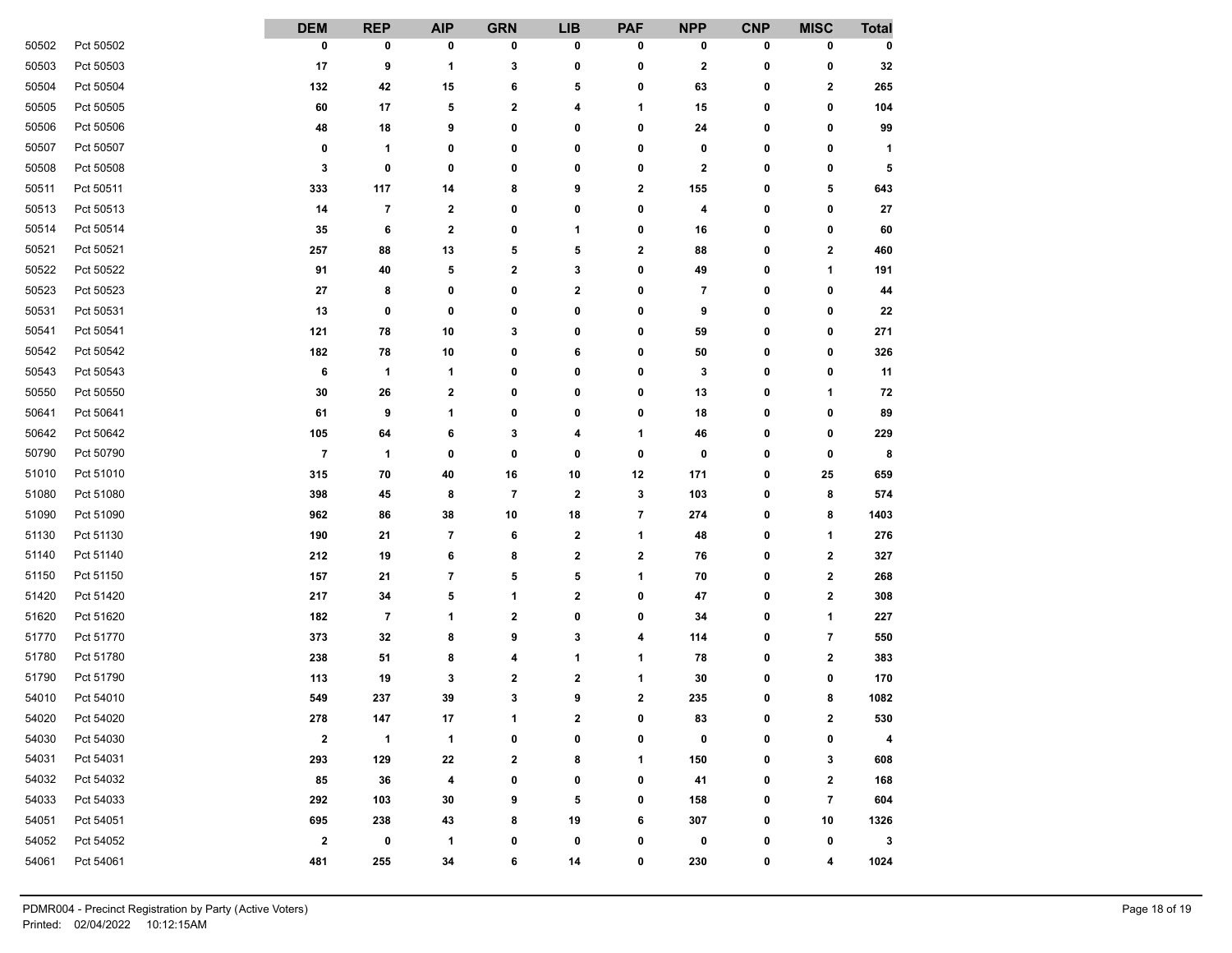|       |           | <b>DEM</b>               | <b>REP</b> | <b>AIP</b>  | <b>GRN</b>               | <b>LIB</b>   | <b>PAF</b>              | <b>NPP</b> | <b>CNP</b> | <b>MISC</b>             | <b>Total</b> |
|-------|-----------|--------------------------|------------|-------------|--------------------------|--------------|-------------------------|------------|------------|-------------------------|--------------|
| 50502 | Pct 50502 | 0                        | 0          | 0           | 0                        | 0            | 0                       | 0          | 0          | 0                       | 0            |
| 50503 | Pct 50503 | 17                       | 9          | 1           | 3                        | 0            | 0                       | 2          | 0          | 0                       | 32           |
| 50504 | Pct 50504 | 132                      | 42         | 15          | 6                        | 5            | 0                       | 63         | 0          | 2                       | 265          |
| 50505 | Pct 50505 | 60                       | 17         | 5           | $\mathbf 2$              | 4            | 1                       | 15         | 0          | 0                       | 104          |
| 50506 | Pct 50506 | 48                       | 18         | 9           | 0                        | 0            | 0                       | 24         | 0          | 0                       | 99           |
| 50507 | Pct 50507 | 0                        | 1          | 0           | 0                        | 0            | 0                       | 0          | 0          | 0                       | 1            |
| 50508 | Pct 50508 | 3                        | 0          | 0           | 0                        | 0            | 0                       | 2          | 0          | 0                       | 5            |
| 50511 | Pct 50511 | 333                      | 117        | 14          | 8                        | 9            | 2                       | 155        | 0          | 5                       | 643          |
| 50513 | Pct 50513 | 14                       | 7          | $\mathbf 2$ | 0                        | 0            | 0                       | 4          | 0          | 0                       | 27           |
| 50514 | Pct 50514 | 35                       | 6          | $\bf{2}$    | 0                        | 1            | 0                       | 16         | 0          | 0                       | 60           |
| 50521 | Pct 50521 | 257                      | 88         | 13          | 5                        | 5            | $\mathbf 2$             | 88         | 0          | $\mathbf 2$             | 460          |
| 50522 | Pct 50522 | 91                       | 40         | 5           | $\mathbf 2$              | 3            | 0                       | 49         | 0          | 1                       | 191          |
| 50523 | Pct 50523 | 27                       | 8          | 0           | 0                        | 2            | 0                       | 7          | 0          | 0                       | 44           |
| 50531 | Pct 50531 | 13                       | 0          | 0           | 0                        | 0            | 0                       | 9          | 0          | 0                       | 22           |
| 50541 | Pct 50541 | 121                      | 78         | 10          | 3                        | 0            | 0                       | 59         | 0          | 0                       | 271          |
| 50542 | Pct 50542 | 182                      | 78         | 10          | 0                        | 6            | 0                       | 50         | 0          | 0                       | 326          |
| 50543 | Pct 50543 | 6                        | 1          | 1           | 0                        | 0            | 0                       | 3          | 0          | 0                       | 11           |
| 50550 | Pct 50550 | 30                       | 26         | $\mathbf 2$ | 0                        | 0            | 0                       | 13         | 0          | 1                       | 72           |
| 50641 | Pct 50641 | 61                       | 9          | 1           | 0                        | 0            | 0                       | 18         | 0          | 0                       | 89           |
| 50642 | Pct 50642 | 105                      | 64         | 6           | 3                        | 4            | 1                       | 46         | 0          | 0                       | 229          |
| 50790 | Pct 50790 | $\overline{\phantom{a}}$ | 1          | 0           | 0                        | 0            | 0                       | 0          | 0          | 0                       | 8            |
| 51010 | Pct 51010 | 315                      | 70         | 40          | 16                       | 10           | 12                      | 171        | 0          | 25                      | 659          |
| 51080 | Pct 51080 | 398                      | 45         | 8           | $\overline{\phantom{a}}$ | $\mathbf{2}$ | 3                       | 103        | 0          | 8                       | 574          |
| 51090 | Pct 51090 | 962                      | 86         | 38          | 10                       | 18           | $\overline{\mathbf{r}}$ | 274        | 0          | 8                       | 1403         |
| 51130 | Pct 51130 | 190                      | 21         | 7           | 6                        | 2            | 1                       | 48         | 0          | 1                       | 276          |
| 51140 | Pct 51140 | 212                      | 19         | 6           | 8                        | 2            | $\mathbf 2$             | 76         | 0          | $\mathbf 2$             | 327          |
| 51150 | Pct 51150 | 157                      | 21         | 7           | 5                        | 5            | 1                       | 70         | 0          | $\mathbf 2$             | 268          |
| 51420 | Pct 51420 | 217                      | 34         | 5           | 1                        | 2            | 0                       | 47         | 0          | 2                       | 308          |
| 51620 | Pct 51620 | 182                      | 7          | 1           | $\mathbf 2$              | 0            | 0                       | 34         | 0          | 1                       | 227          |
| 51770 | Pct 51770 | 373                      | 32         | 8           | 9                        | 3            | 4                       | 114        | 0          | 7                       | 550          |
| 51780 | Pct 51780 | 238                      | 51         | 8           | 4                        | 1            | 1                       | 78         | 0          | 2                       | 383          |
| 51790 | Pct 51790 | 113                      | 19         | 3           | 2                        | 2            | 1                       | 30         | 0          | 0                       | 170          |
| 54010 | Pct 54010 | 549                      | 237        | 39          | 3                        | 9            | $\mathbf 2$             | 235        | 0          | 8                       | 1082         |
| 54020 | Pct 54020 | 278                      | 147        | 17          | 4                        | $\mathbf 2$  | $\mathbf{r}$            | 83         | $\Omega$   | $\overline{\mathbf{2}}$ | 530          |
| 54030 | Pct 54030 | $\mathbf{2}$             | 1          | 1           | 0                        | 0            | 0                       | 0          | 0          | 0                       | 4            |
| 54031 | Pct 54031 | 293                      | 129        | 22          | $\mathbf 2$              | 8            | 1                       | 150        | 0          | 3                       | 608          |
| 54032 | Pct 54032 | 85                       | 36         | 4           | 0                        | 0            | 0                       | 41         | 0          | $\mathbf{2}$            | 168          |
| 54033 | Pct 54033 | 292                      | 103        | 30          | 9                        | 5            | 0                       | 158        | 0          | 7                       | 604          |
| 54051 | Pct 54051 | 695                      | 238        | 43          | 8                        | 19           | 6                       | 307        | 0          | 10                      | 1326         |
| 54052 | Pct 54052 | $\mathbf 2$              | 0          | 1           | 0                        | 0            | 0                       | 0          | 0          | 0                       | 3            |
| 54061 | Pct 54061 | 481                      | 255        | 34          | 6                        | 14           | 0                       | 230        | 0          | 4                       | 1024         |